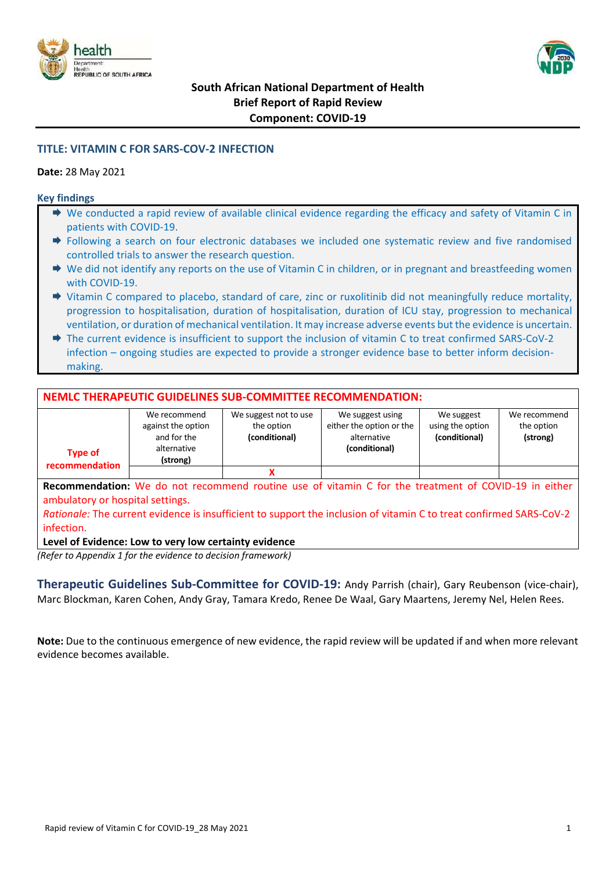



# **TITLE: VITAMIN C FOR SARS-COV-2 INFECTION**

#### **Date:** 28 May 2021

#### **Key findings**

- ◆ We conducted a rapid review of available clinical evidence regarding the efficacy and safety of Vitamin C in patients with COVID-19.
- Following a search on four electronic databases we included one systematic review and five randomised controlled trials to answer the research question.
- $\rightarrow$  We did not identify any reports on the use of Vitamin C in children, or in pregnant and breastfeeding women with COVID-19.
- Vitamin C compared to placebo, standard of care, zinc or ruxolitinib did not meaningfully reduce mortality, progression to hospitalisation, duration of hospitalisation, duration of ICU stay, progression to mechanical ventilation, or duration of mechanical ventilation. It may increase adverse events but the evidence is uncertain.
- → The current evidence is insufficient to support the inclusion of vitamin C to treat confirmed SARS-CoV-2 infection – ongoing studies are expected to provide a stronger evidence base to better inform decisionmaking.

### **NEMLC THERAPEUTIC GUIDELINES SUB-COMMITTEE RECOMMENDATION:**

|                | We recommend       | We suggest not to use | We suggest using         | We suggest       | We recommend |
|----------------|--------------------|-----------------------|--------------------------|------------------|--------------|
|                | against the option | the option            | either the option or the | using the option | the option   |
|                | and for the        | (conditional)         | alternative              | (conditional)    | (strong)     |
| <b>Type of</b> | alternative        |                       | (conditional)            |                  |              |
| recommendation | (strong)           |                       |                          |                  |              |
|                |                    |                       |                          |                  |              |

**Recommendation:** We do not recommend routine use of vitamin C for the treatment of COVID-19 in either ambulatory or hospital settings.

*Rationale:* The current evidence is insufficient to support the inclusion of vitamin C to treat confirmed SARS-CoV-2 infection.

#### **Level of Evidence: Low to very low certainty evidence**

*(Refer to Appendix 1 for the evidence to decision framework)*

**Therapeutic Guidelines Sub-Committee for COVID-19:** Andy Parrish (chair), Gary Reubenson (vice-chair), Marc Blockman, Karen Cohen, Andy Gray, Tamara Kredo, Renee De Waal, Gary Maartens, Jeremy Nel, Helen Rees.

**Note:** Due to the continuous emergence of new evidence, the rapid review will be updated if and when more relevant evidence becomes available.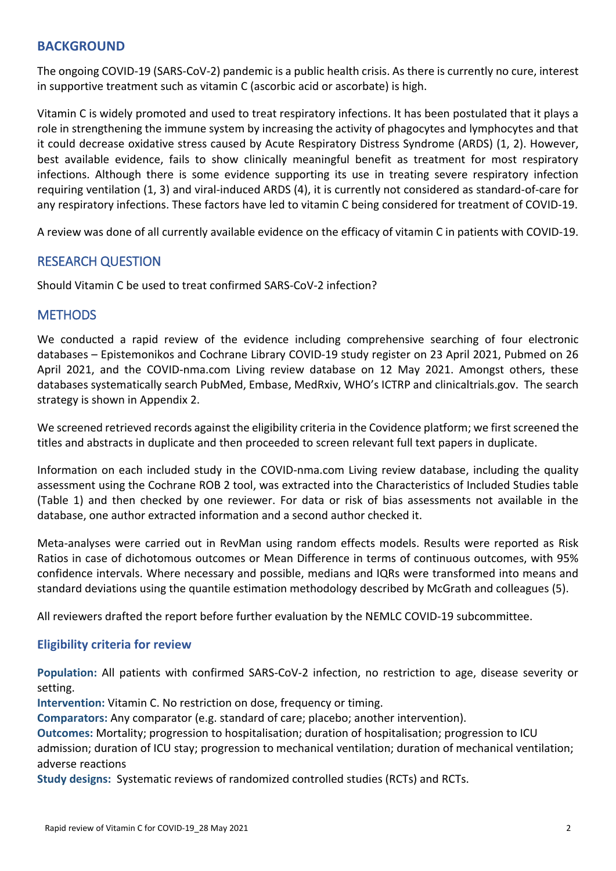# **BACKGROUND**

The ongoing COVID-19 (SARS-CoV-2) pandemic is a public health crisis. As there is currently no cure, interest in supportive treatment such as vitamin C (ascorbic acid or ascorbate) is high.

Vitamin C is widely promoted and used to treat respiratory infections. It has been postulated that it plays a role in strengthening the immune system by increasing the activity of phagocytes and lymphocytes and that it could decrease oxidative stress caused by Acute Respiratory Distress Syndrome (ARDS) (1, 2). However, best available evidence, fails to show clinically meaningful benefit as treatment for most respiratory infections. Although there is some evidence supporting its use in treating severe respiratory infection requiring ventilation (1, 3) and viral-induced ARDS (4), it is currently not considered as standard-of-care for any respiratory infections. These factors have led to vitamin C being considered for treatment of COVID-19.

A review was done of all currently available evidence on the efficacy of vitamin C in patients with COVID-19.

# RESEARCH QUESTION

Should Vitamin C be used to treat confirmed SARS-CoV-2 infection?

# **METHODS**

We conducted a rapid review of the evidence including comprehensive searching of four electronic databases – Epistemonikos and Cochrane Library COVID-19 study register on 23 April 2021, Pubmed on 26 April 2021, and the COVID-nma.com Living review database on 12 May 2021. Amongst others, these databases systematically search PubMed, Embase, MedRxiv, WHO's ICTRP and clinicaltrials.gov. The search strategy is shown in Appendix 2.

We screened retrieved records against the eligibility criteria in the Covidence platform; we first screened the titles and abstracts in duplicate and then proceeded to screen relevant full text papers in duplicate.

Information on each included study in the COVID-nma.com Living review database, including the quality assessment using the Cochrane ROB 2 tool, was extracted into the Characteristics of Included Studies table (Table 1) and then checked by one reviewer. For data or risk of bias assessments not available in the database, one author extracted information and a second author checked it.

Meta-analyses were carried out in RevMan using random effects models. Results were reported as Risk Ratios in case of dichotomous outcomes or Mean Difference in terms of continuous outcomes, with 95% confidence intervals. Where necessary and possible, medians and IQRs were transformed into means and standard deviations using the quantile estimation methodology described by McGrath and colleagues (5).

All reviewers drafted the report before further evaluation by the NEMLC COVID-19 subcommittee.

# **Eligibility criteria for review**

**Population:** All patients with confirmed SARS-CoV-2 infection, no restriction to age, disease severity or setting.

**Intervention:** Vitamin C. No restriction on dose, frequency or timing.

**Comparators:** Any comparator (e.g. standard of care; placebo; another intervention).

**Outcomes:** Mortality; progression to hospitalisation; duration of hospitalisation; progression to ICU admission; duration of ICU stay; progression to mechanical ventilation; duration of mechanical ventilation; adverse reactions

**Study designs:** Systematic reviews of randomized controlled studies (RCTs) and RCTs.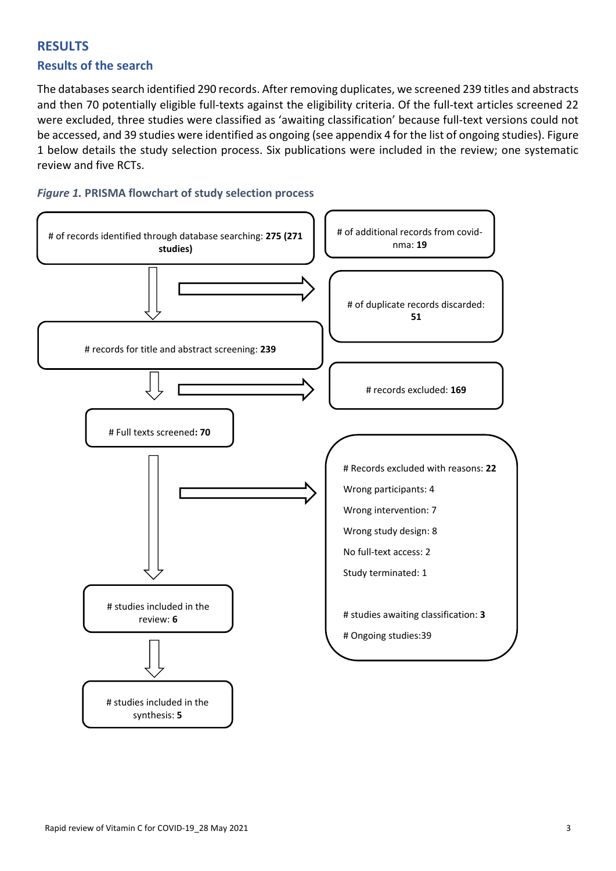# **RESULTS Results of the search**

The databases search identified 290 records. After removing duplicates, we screened 239 titles and abstracts and then 70 potentially eligible full-texts against the eligibility criteria. Of the full-text articles screened 22 were excluded, three studies were classified as 'awaiting classification' because full-text versions could not be accessed, and 39 studies were identified as ongoing (see appendix 4 for the list of ongoing studies). Figure 1 below details the study selection process. Six publications were included in the review; one systematic review and five RCTs.

# *Figure 1.* **PRISMA flowchart of study selection process**

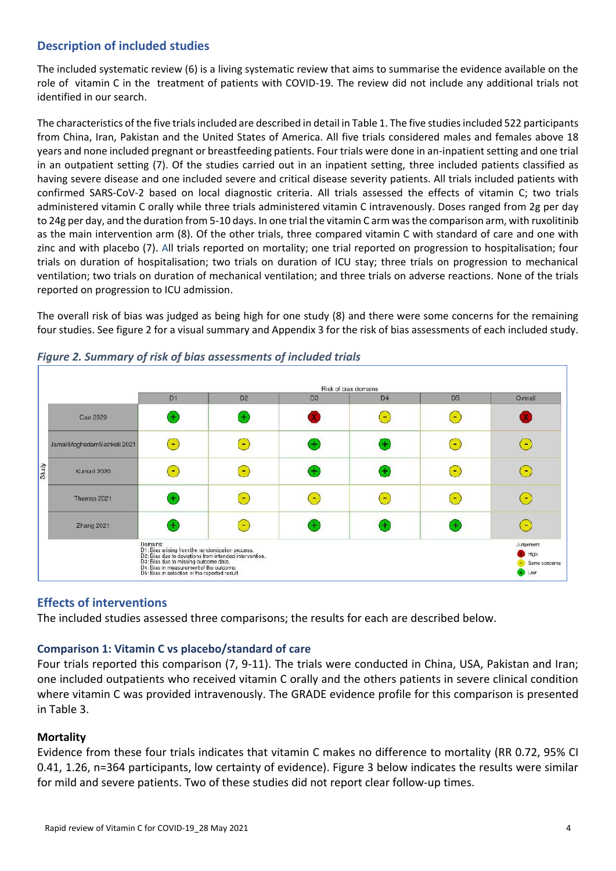# **Description of included studies**

The included systematic review (6) is a living systematic review that aims to summarise the evidence available on the role of vitamin C in the treatment of patients with COVID-19. The review did not include any additional trials not identified in our search.

The characteristics of the five trials included are described in detail in Table 1. The five studies included 522 participants from China, Iran, Pakistan and the United States of America. All five trials considered males and females above 18 years and none included pregnant or breastfeeding patients. Four trials were done in an-inpatient setting and one trial in an outpatient setting (7). Of the studies carried out in an inpatient setting, three included patients classified as having severe disease and one included severe and critical disease severity patients. All trials included patients with confirmed SARS-CoV-2 based on local diagnostic criteria. All trials assessed the effects of vitamin C; two trials administered vitamin C orally while three trials administered vitamin C intravenously. Doses ranged from 2g per day to 24g per day, and the duration from 5-10 days. In one trial the vitamin C arm was the comparison arm, with ruxolitinib as the main intervention arm (8). Of the other trials, three compared vitamin C with standard of care and one with zinc and with placebo (7). All trials reported on mortality; one trial reported on progression to hospitalisation; four trials on duration of hospitalisation; two trials on duration of ICU stay; three trials on progression to mechanical ventilation; two trials on duration of mechanical ventilation; and three trials on adverse reactions. None of the trials reported on progression to ICU admission.

The overall risk of bias was judged as being high for one study (8) and there were some concerns for the remaining four studies. See figure 2 for a visual summary and Appendix 3 for the risk of bias assessments of each included study.



## *Figure 2. Summary of risk of bias assessments of included trials*

# **Effects of interventions**

The included studies assessed three comparisons; the results for each are described below.

## **Comparison 1: Vitamin C vs placebo/standard of care**

Four trials reported this comparison (7, 9-11). The trials were conducted in China, USA, Pakistan and Iran; one included outpatients who received vitamin C orally and the others patients in severe clinical condition where vitamin C was provided intravenously. The GRADE evidence profile for this comparison is presented in Table 3.

## **Mortality**

Evidence from these four trials indicates that vitamin C makes no difference to mortality (RR 0.72, 95% CI 0.41, 1.26, n=364 participants, low certainty of evidence). Figure 3 below indicates the results were similar for mild and severe patients. Two of these studies did not report clear follow-up times.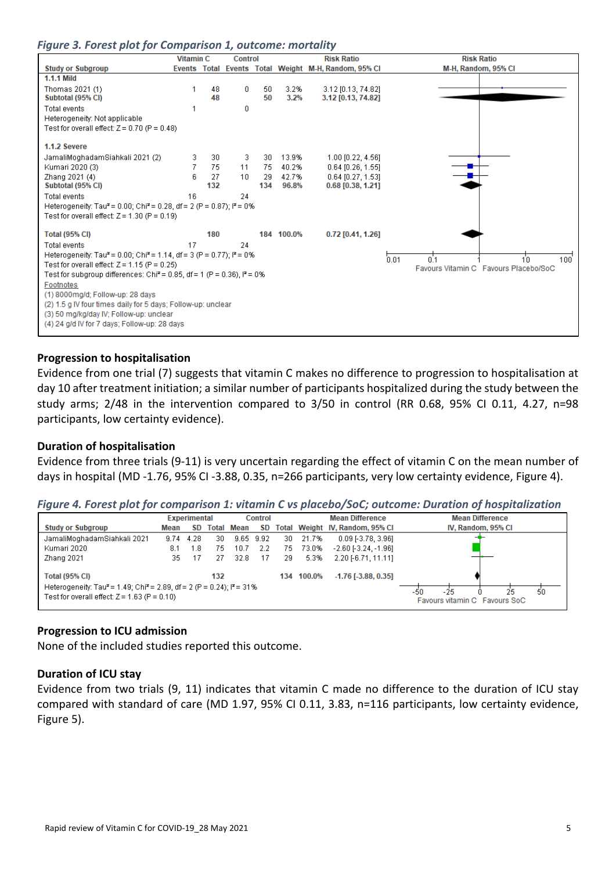| Figure 3. Forest plot for Comparison 1, outcome: mortality |  |  |  |
|------------------------------------------------------------|--|--|--|
|------------------------------------------------------------|--|--|--|

|                                                                                                                                                           | <b>Vitamin C</b> |          | <b>Control</b> |          |              | <b>Risk Ratio</b>                                    | <b>Risk Ratio</b>                     |
|-----------------------------------------------------------------------------------------------------------------------------------------------------------|------------------|----------|----------------|----------|--------------|------------------------------------------------------|---------------------------------------|
| <b>Study or Subgroup</b>                                                                                                                                  |                  |          |                |          |              | Events Total Events Total Weight M-H, Random, 95% CI | M-H, Random, 95% CI                   |
| <b>1.1.1 Mild</b>                                                                                                                                         |                  |          |                |          |              |                                                      |                                       |
| Thomas 2021 (1)<br>Subtotal (95% CI)                                                                                                                      |                  | 48<br>48 | 0              | 50<br>50 | 3.2%<br>3.2% | 3.12 [0.13, 74.82]<br>3.12 [0.13, 74.82]             |                                       |
| Total events                                                                                                                                              |                  |          | 0              |          |              |                                                      |                                       |
| Heterogeneity: Not applicable                                                                                                                             |                  |          |                |          |              |                                                      |                                       |
| Test for overall effect: $Z = 0.70$ (P = 0.48)                                                                                                            |                  |          |                |          |              |                                                      |                                       |
| 1.1.2 Severe                                                                                                                                              |                  |          |                |          |              |                                                      |                                       |
| JamaliMoghadamSiahkali 2021 (2)                                                                                                                           | 3                | 30       | 3.             | 30       | 13.9%        | 1.00 [0.22, 4.56]                                    |                                       |
| Kumari 2020 (3)                                                                                                                                           |                  | 75       | 11             | 75.      | 40.2%        | 0.64 [0.26, 1.55]                                    |                                       |
| Zhang 2021 (4)                                                                                                                                            | ĥ                | 27       | 10             | 29       | 42.7%        | 0.64 [0.27, 1.53]                                    |                                       |
| Subtotal (95% CI)                                                                                                                                         |                  | 132      |                | 134      | 96.8%        | $0.68$ [0.38, 1.21]                                  |                                       |
| Total events                                                                                                                                              | 16               |          | 24             |          |              |                                                      |                                       |
| Heterogeneity: Tau <sup>2</sup> = 0.00; Chi <sup>2</sup> = 0.28, df = 2 (P = 0.87); i <sup>2</sup> = 0%<br>Test for overall effect: $Z = 1.30$ (P = 0.19) |                  |          |                |          |              |                                                      |                                       |
|                                                                                                                                                           |                  |          |                |          |              |                                                      |                                       |
| <b>Total (95% CI)</b>                                                                                                                                     |                  | 180      |                |          | 184 100.0%   | $0.72$ [0.41, 1.26]                                  |                                       |
| Total events                                                                                                                                              | 17               |          | 24             |          |              |                                                      |                                       |
| Heterogeneity: Tau <sup>2</sup> = 0.00; Chi <sup>2</sup> = 1.14, df = 3 (P = 0.77); l <sup>2</sup> = 0%                                                   |                  |          |                |          |              |                                                      | 0.1<br>0.01<br>10<br>100 <sup>7</sup> |
| Test for overall effect: $Z = 1.15$ (P = 0.25)                                                                                                            |                  |          |                |          |              |                                                      | Favours Vitamin C Favours Placebo/SoC |
| Test for subgroup differences: Chi <sup>2</sup> = 0.85, df = 1 (P = 0.36), l <sup>2</sup> = 0%                                                            |                  |          |                |          |              |                                                      |                                       |
| Footnotes                                                                                                                                                 |                  |          |                |          |              |                                                      |                                       |
| (1) 8000mg/d; Follow-up: 28 days                                                                                                                          |                  |          |                |          |              |                                                      |                                       |
| (2) 1.5 g IV four times daily for 5 days; Follow-up: unclear                                                                                              |                  |          |                |          |              |                                                      |                                       |
| (3) 50 mg/kg/day IV; Follow-up: unclear<br>(4) 24 g/d IV for 7 days; Follow-up: 28 days                                                                   |                  |          |                |          |              |                                                      |                                       |
|                                                                                                                                                           |                  |          |                |          |              |                                                      |                                       |

#### **Progression to hospitalisation**

Evidence from one trial (7) suggests that vitamin C makes no difference to progression to hospitalisation at day 10 after treatment initiation; a similar number of participants hospitalized during the study between the study arms; 2/48 in the intervention compared to 3/50 in control (RR 0.68, 95% CI 0.11, 4.27, n=98 participants, low certainty evidence).

## **Duration of hospitalisation**

Evidence from three trials (9-11) is very uncertain regarding the effect of vitamin C on the mean number of days in hospital (MD -1.76, 95% CI -3.88, 0.35, n=266 participants, very low certainty evidence, Figure 4).

*Figure 4. Forest plot for comparison 1: vitamin C vs placebo/SoC; outcome: Duration of hospitalization*

|                                                                                                                                                                                                       |      | <b>Experimental</b> |     |                   | <b>Control</b> |     |        | <b>Mean Difference</b>          | <b>Mean Difference</b> |
|-------------------------------------------------------------------------------------------------------------------------------------------------------------------------------------------------------|------|---------------------|-----|-------------------|----------------|-----|--------|---------------------------------|------------------------|
| <b>Study or Subgroup</b>                                                                                                                                                                              | Mean | SD.                 |     | <b>Total Mean</b> | SD.            |     |        | Total Weight IV, Random, 95% CI | IV, Random, 95% CI     |
| JamaliMoghadamSiahkali 2021                                                                                                                                                                           | 9.74 | 4.28                | 30  | 9.65              | - 9.92         | 30  | 21.7%  | $0.09$ [-3.78, 3.96]            |                        |
| Kumari 2020                                                                                                                                                                                           | 8.1  | 1.8                 | 75  | 10.7              | -2.2           | 75  | 73.0%  | $-2.60$ [-3.24, -1.96]          |                        |
| Zhang 2021                                                                                                                                                                                            | 35   | 17                  | 27  | 32.8              | 17             | 29  | 5.3%   | $2.20$ [-6.71, 11.11]           |                        |
| <b>Total (95% CI)</b>                                                                                                                                                                                 |      |                     | 132 |                   |                | 134 | 100.0% | $-1.76$ [ $-3.88$ , 0.35]       |                        |
| Heterogeneity: Tau <sup>2</sup> = 1.49; Chi <sup>2</sup> = 2.89, df = 2 (P = 0.24); $P = 31\%$<br>-25<br>25<br>-50<br>Test for overall effect: $Z = 1.63$ (P = 0.10)<br>Favours vitamin C Favours SoC |      |                     |     |                   |                |     |        | 50                              |                        |

#### **Progression to ICU admission**

None of the included studies reported this outcome.

## **Duration of ICU stay**

Evidence from two trials (9, 11) indicates that vitamin C made no difference to the duration of ICU stay compared with standard of care (MD 1.97, 95% CI 0.11, 3.83, n=116 participants, low certainty evidence, Figure 5).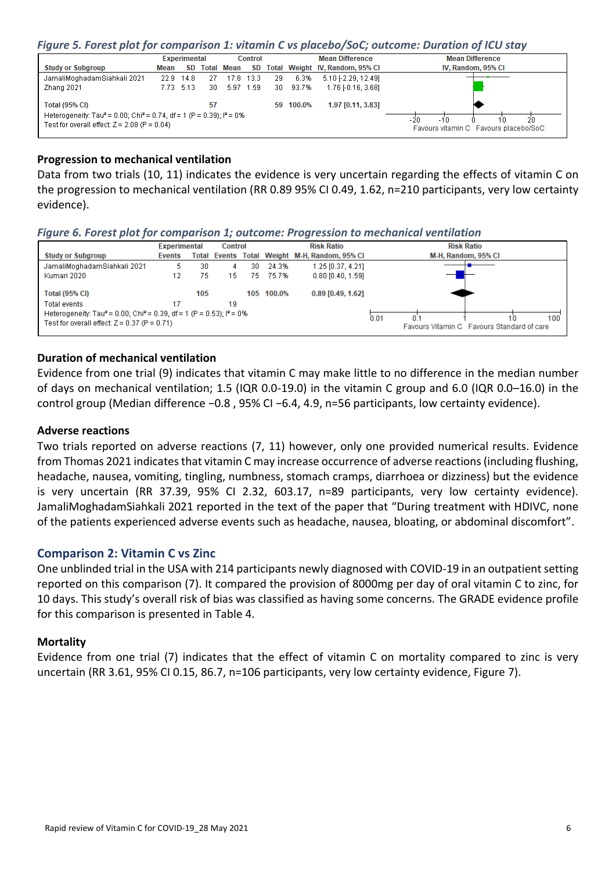#### *Figure 5. Forest plot for comparison 1: vitamin C vs placebo/SoC; outcome: Duration of ICU stay*

|                                                                                                                                                 |      | <b>Experimental</b> |    |               | <b>Mean Difference</b><br><b>Control</b> |     |           |                                 | <b>Mean Difference</b>                                            |  |  |
|-------------------------------------------------------------------------------------------------------------------------------------------------|------|---------------------|----|---------------|------------------------------------------|-----|-----------|---------------------------------|-------------------------------------------------------------------|--|--|
| <b>Study or Subgroup</b>                                                                                                                        | Mean |                     |    | SD Total Mean | SD.                                      |     |           | Total Weight IV, Random, 95% CI | IV, Random, 95% CI                                                |  |  |
| JamaliMoghadamSiahkali 2021                                                                                                                     |      | 22.9 14.8           | 27 |               | 17.8 13.3                                | 29  | 6.3%      | 5.10 [-2.29, 12.49]             |                                                                   |  |  |
| Zhang 2021                                                                                                                                      |      | 7.73 5.13           | 30 |               | 5.97 1.59                                | 30. | 93.7%     | 1.76 [-0.16, 3.68]              |                                                                   |  |  |
| <b>Total (95% CI)</b>                                                                                                                           |      |                     | 57 |               |                                          |     | 59 100.0% | 1.97 [0.11, 3.83]               |                                                                   |  |  |
| Heterogeneity: Tau <sup>2</sup> = 0.00; Chi <sup>2</sup> = 0.74, df = 1 (P = 0.39); $P = 0$ %<br>Test for overall effect: $Z = 2.08$ (P = 0.04) |      |                     |    |               |                                          |     |           |                                 | 20<br>$-20$<br>-10<br>10<br>Favours vitamin C Favours placebo/SoC |  |  |

### **Progression to mechanical ventilation**

Data from two trials (10, 11) indicates the evidence is very uncertain regarding the effects of vitamin C on the progression to mechanical ventilation (RR 0.89 95% CI 0.49, 1.62, n=210 participants, very low certainty evidence).

#### *Figure 6. Forest plot for comparison 1; outcome: Progression to mechanical ventilation*

|                                                                                               | <b>Experimental</b> |     | <b>Control</b> |     |            | <b>Risk Ratio</b>                             | <b>Risk Ratio</b>                                                |
|-----------------------------------------------------------------------------------------------|---------------------|-----|----------------|-----|------------|-----------------------------------------------|------------------------------------------------------------------|
| <b>Study or Subgroup</b>                                                                      | <b>Events</b>       |     |                |     |            | Total Events Total Weight M-H, Random, 95% CI | M-H, Random, 95% CI                                              |
| JamaliMoghadamSiahkali 2021                                                                   | 5                   | 30  | 4              | 30  | 24.3%      | 1.25 [0.37, 4.21]                             |                                                                  |
| Kumari 2020                                                                                   |                     | 75  | 15             | 75. | 75.7%      | $0.80$ [0.40, 1.59]                           |                                                                  |
| <b>Total (95% CI)</b>                                                                         |                     | 105 |                |     | 105 100.0% | 0.89 [0.49, 1.62]                             |                                                                  |
| Total events                                                                                  |                     |     | 19             |     |            |                                               |                                                                  |
| Heterogeneity: Tau <sup>2</sup> = 0.00; Chi <sup>2</sup> = 0.39, df = 1 (P = 0.53); $P = 0\%$ |                     |     |                |     |            |                                               |                                                                  |
| Test for overall effect: $Z = 0.37$ (P = 0.71)                                                |                     |     |                |     |            |                                               | 0.01<br>100<br>0.1<br>Favours Vitamin C Favours Standard of care |

# **Duration of mechanical ventilation**

Evidence from one trial (9) indicates that vitamin C may make little to no difference in the median number of days on mechanical ventilation; 1.5 (IQR 0.0-19.0) in the vitamin C group and 6.0 (IQR 0.0–16.0) in the control group (Median difference −0.8 , 95% CI −6.4, 4.9, n=56 participants, low certainty evidence).

#### **Adverse reactions**

Two trials reported on adverse reactions (7, 11) however, only one provided numerical results. Evidence from Thomas 2021 indicates that vitamin C may increase occurrence of adverse reactions (including flushing, headache, nausea, vomiting, tingling, numbness, stomach cramps, diarrhoea or dizziness) but the evidence is very uncertain (RR 37.39, 95% CI 2.32, 603.17, n=89 participants, very low certainty evidence). JamaliMoghadamSiahkali 2021 reported in the text of the paper that "During treatment with HDIVC, none of the patients experienced adverse events such as headache, nausea, bloating, or abdominal discomfort".

#### **Comparison 2: Vitamin C vs Zinc**

One unblinded trial in the USA with 214 participants newly diagnosed with COVID-19 in an outpatient setting reported on this comparison (7). It compared the provision of 8000mg per day of oral vitamin C to zinc, for 10 days. This study's overall risk of bias was classified as having some concerns. The GRADE evidence profile for this comparison is presented in Table 4.

#### **Mortality**

Evidence from one trial (7) indicates that the effect of vitamin C on mortality compared to zinc is very uncertain (RR 3.61, 95% CI 0.15, 86.7, n=106 participants, very low certainty evidence, Figure 7).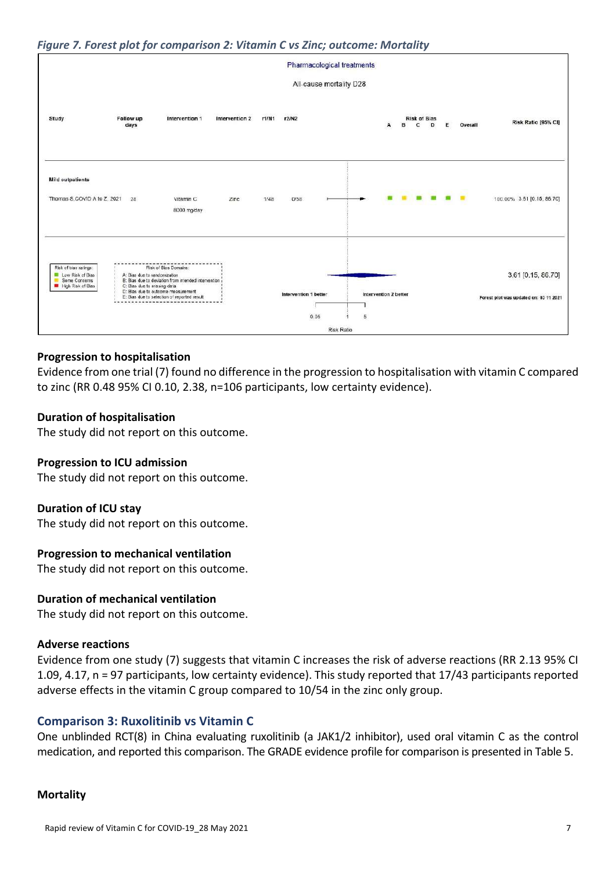### *Figure 7. Forest plot for comparison 2: Vitamin C vs Zinc; outcome: Mortality*



### **Progression to hospitalisation**

Evidence from one trial (7) found no difference in the progression to hospitalisation with vitamin C compared to zinc (RR 0.48 95% CI 0.10, 2.38, n=106 participants, low certainty evidence).

#### **Duration of hospitalisation**

The study did not report on this outcome.

#### **Progression to ICU admission**

The study did not report on this outcome.

#### **Duration of ICU stay**

The study did not report on this outcome.

#### **Progression to mechanical ventilation**

The study did not report on this outcome.

## **Duration of mechanical ventilation**

The study did not report on this outcome.

#### **Adverse reactions**

Evidence from one study (7) suggests that vitamin C increases the risk of adverse reactions (RR 2.13 95% CI 1.09, 4.17, n = 97 participants, low certainty evidence). This study reported that 17/43 participants reported adverse effects in the vitamin C group compared to 10/54 in the zinc only group.

#### **Comparison 3: Ruxolitinib vs Vitamin C**

One unblinded RCT(8) in China evaluating ruxolitinib (a JAK1/2 inhibitor), used oral vitamin C as the control medication, and reported this comparison. The GRADE evidence profile for comparison is presented in Table 5.

#### **Mortality**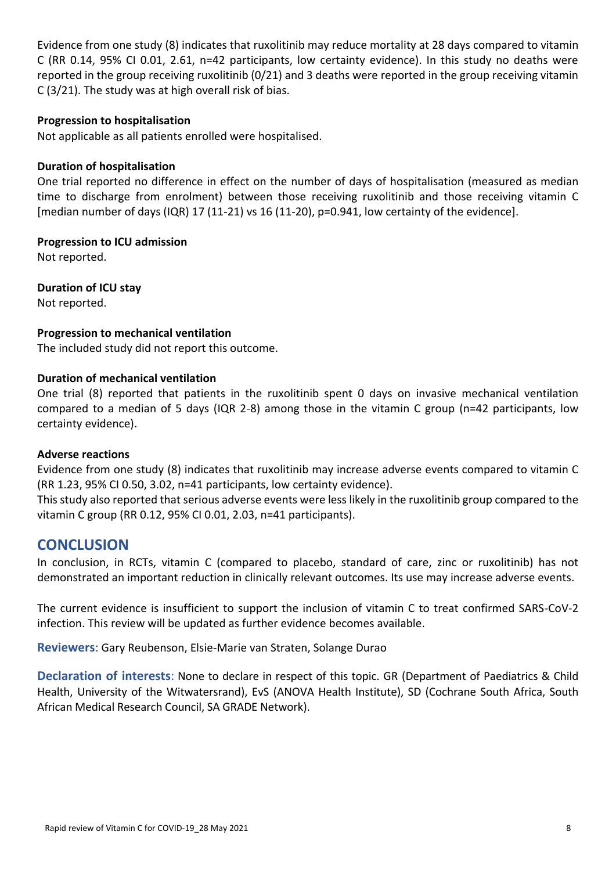Evidence from one study (8) indicates that ruxolitinib may reduce mortality at 28 days compared to vitamin C (RR 0.14, 95% CI 0.01, 2.61, n=42 participants, low certainty evidence). In this study no deaths were reported in the group receiving ruxolitinib (0/21) and 3 deaths were reported in the group receiving vitamin C (3/21). The study was at high overall risk of bias.

# **Progression to hospitalisation**

Not applicable as all patients enrolled were hospitalised.

# **Duration of hospitalisation**

One trial reported no difference in effect on the number of days of hospitalisation (measured as median time to discharge from enrolment) between those receiving ruxolitinib and those receiving vitamin C [median number of days (IQR) 17 (11-21) vs 16 (11-20), p=0.941, low certainty of the evidence].

**Progression to ICU admission**

Not reported.

**Duration of ICU stay** Not reported.

# **Progression to mechanical ventilation**

The included study did not report this outcome.

## **Duration of mechanical ventilation**

One trial (8) reported that patients in the ruxolitinib spent 0 days on invasive mechanical ventilation compared to a median of 5 days (IQR 2-8) among those in the vitamin C group (n=42 participants, low certainty evidence).

## **Adverse reactions**

Evidence from one study (8) indicates that ruxolitinib may increase adverse events compared to vitamin C (RR 1.23, 95% CI 0.50, 3.02, n=41 participants, low certainty evidence).

This study also reported that serious adverse events were less likely in the ruxolitinib group compared to the vitamin C group (RR 0.12, 95% CI 0.01, 2.03, n=41 participants).

# **CONCLUSION**

In conclusion, in RCTs, vitamin C (compared to placebo, standard of care, zinc or ruxolitinib) has not demonstrated an important reduction in clinically relevant outcomes. Its use may increase adverse events.

The current evidence is insufficient to support the inclusion of vitamin C to treat confirmed SARS-CoV-2 infection. This review will be updated as further evidence becomes available.

**Reviewers**: Gary Reubenson, Elsie-Marie van Straten, Solange Durao

**Declaration of interests**: None to declare in respect of this topic. GR (Department of Paediatrics & Child Health, University of the Witwatersrand), EvS (ANOVA Health Institute), SD (Cochrane South Africa, South African Medical Research Council, SA GRADE Network).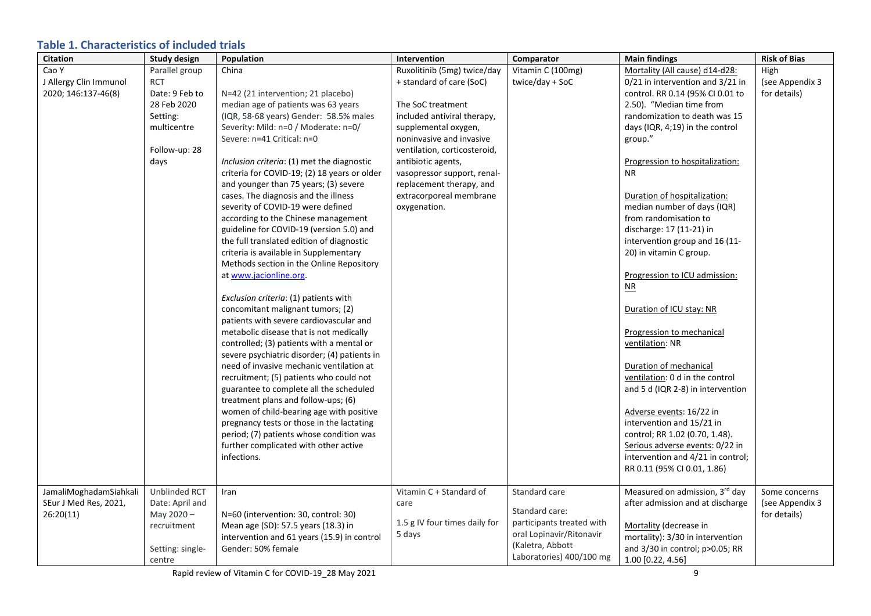# **Table 1. Characteristics of included trials**

| Citation               | <b>Study design</b> | Population                                   | Intervention                  | Comparator                | <b>Main findings</b>              | <b>Risk of Bias</b> |
|------------------------|---------------------|----------------------------------------------|-------------------------------|---------------------------|-----------------------------------|---------------------|
| Cao Y                  | Parallel group      | China                                        | Ruxolitinib (5mg) twice/day   | Vitamin C (100mg)         | Mortality (All cause) d14-d28:    | High                |
| J Allergy Clin Immunol | <b>RCT</b>          |                                              | + standard of care (SoC)      | twice/day + SoC           | 0/21 in intervention and 3/21 in  | (see Appendix 3     |
| 2020; 146:137-46(8)    | Date: 9 Feb to      | N=42 (21 intervention; 21 placebo)           |                               |                           | control. RR 0.14 (95% CI 0.01 to  | for details)        |
|                        | 28 Feb 2020         | median age of patients was 63 years          | The SoC treatment             |                           | 2.50). "Median time from          |                     |
|                        | Setting:            | (IQR, 58-68 years) Gender: 58.5% males       | included antiviral therapy,   |                           | randomization to death was 15     |                     |
|                        | multicentre         | Severity: Mild: n=0 / Moderate: n=0/         | supplemental oxygen,          |                           | days (IQR, 4;19) in the control   |                     |
|                        |                     | Severe: n=41 Critical: n=0                   | noninvasive and invasive      |                           | group."                           |                     |
|                        | Follow-up: 28       |                                              | ventilation, corticosteroid,  |                           |                                   |                     |
|                        | days                | Inclusion criteria: (1) met the diagnostic   | antibiotic agents,            |                           | Progression to hospitalization:   |                     |
|                        |                     | criteria for COVID-19; (2) 18 years or older | vasopressor support, renal-   |                           | <b>NR</b>                         |                     |
|                        |                     | and younger than 75 years; (3) severe        | replacement therapy, and      |                           |                                   |                     |
|                        |                     | cases. The diagnosis and the illness         | extracorporeal membrane       |                           | Duration of hospitalization:      |                     |
|                        |                     | severity of COVID-19 were defined            | oxygenation.                  |                           | median number of days (IQR)       |                     |
|                        |                     | according to the Chinese management          |                               |                           | from randomisation to             |                     |
|                        |                     | guideline for COVID-19 (version 5.0) and     |                               |                           | discharge: 17 (11-21) in          |                     |
|                        |                     | the full translated edition of diagnostic    |                               |                           | intervention group and 16 (11-    |                     |
|                        |                     | criteria is available in Supplementary       |                               |                           | 20) in vitamin C group.           |                     |
|                        |                     | Methods section in the Online Repository     |                               |                           |                                   |                     |
|                        |                     | at www.jacionline.org.                       |                               |                           | Progression to ICU admission:     |                     |
|                        |                     |                                              |                               |                           | $\mathbf{M}$                      |                     |
|                        |                     | Exclusion criteria: (1) patients with        |                               |                           |                                   |                     |
|                        |                     | concomitant malignant tumors; (2)            |                               |                           | Duration of ICU stay: NR          |                     |
|                        |                     | patients with severe cardiovascular and      |                               |                           |                                   |                     |
|                        |                     | metabolic disease that is not medically      |                               |                           | Progression to mechanical         |                     |
|                        |                     | controlled; (3) patients with a mental or    |                               |                           | ventilation: NR                   |                     |
|                        |                     | severe psychiatric disorder; (4) patients in |                               |                           |                                   |                     |
|                        |                     | need of invasive mechanic ventilation at     |                               |                           | Duration of mechanical            |                     |
|                        |                     | recruitment; (5) patients who could not      |                               |                           | ventilation: 0 d in the control   |                     |
|                        |                     | guarantee to complete all the scheduled      |                               |                           | and 5 d (IQR 2-8) in intervention |                     |
|                        |                     | treatment plans and follow-ups; (6)          |                               |                           |                                   |                     |
|                        |                     | women of child-bearing age with positive     |                               |                           | Adverse events: 16/22 in          |                     |
|                        |                     | pregnancy tests or those in the lactating    |                               |                           | intervention and 15/21 in         |                     |
|                        |                     | period; (7) patients whose condition was     |                               |                           | control; RR 1.02 (0.70, 1.48).    |                     |
|                        |                     | further complicated with other active        |                               |                           | Serious adverse events: 0/22 in   |                     |
|                        |                     | infections.                                  |                               |                           | intervention and 4/21 in control; |                     |
|                        |                     |                                              |                               |                           | RR 0.11 (95% CI 0.01, 1.86)       |                     |
| JamaliMoghadamSiahkali | Unblinded RCT       | Iran                                         | Vitamin C + Standard of       | Standard care             | Measured on admission, 3rd day    | Some concerns       |
| SEur J Med Res, 2021,  | Date: April and     |                                              | care                          |                           | after admission and at discharge  | (see Appendix 3     |
| 26:20(11)              | May 2020-           | N=60 (intervention: 30, control: 30)         |                               | Standard care:            |                                   | for details)        |
|                        | recruitment         | Mean age (SD): 57.5 years (18.3) in          | 1.5 g IV four times daily for | participants treated with | Mortality (decrease in            |                     |
|                        |                     | intervention and 61 years (15.9) in control  | 5 days                        | oral Lopinavir/Ritonavir  | mortality): 3/30 in intervention  |                     |
|                        | Setting: single-    | Gender: 50% female                           |                               | (Kaletra, Abbott          | and 3/30 in control; p>0.05; RR   |                     |
|                        |                     |                                              |                               | Laboratories) 400/100 mg  | 1.00 [0.22, 4.56]                 |                     |
|                        | centre              |                                              |                               |                           |                                   |                     |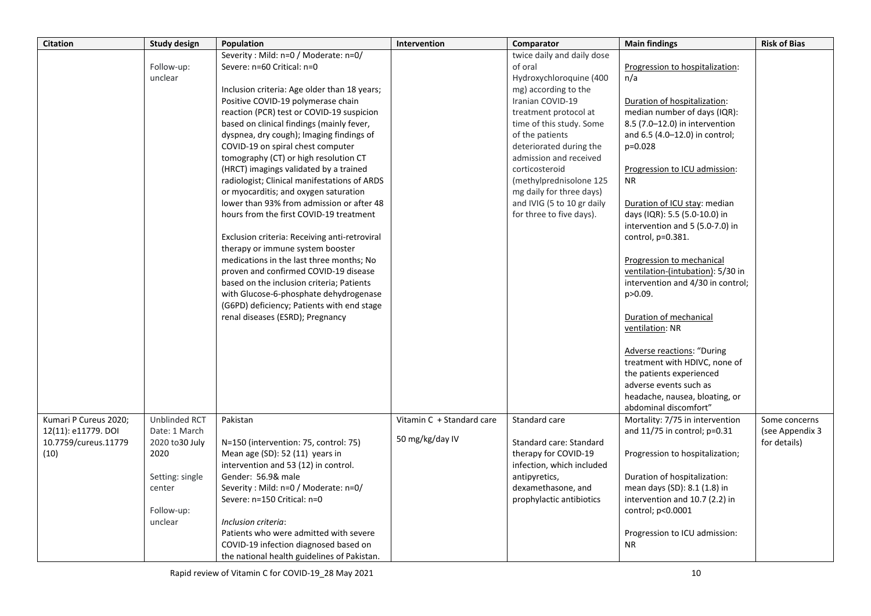| <b>Citation</b>       | <b>Study design</b> | Population                                                                     | Intervention              | Comparator                 | <b>Main findings</b>              | <b>Risk of Bias</b> |
|-----------------------|---------------------|--------------------------------------------------------------------------------|---------------------------|----------------------------|-----------------------------------|---------------------|
|                       |                     | Severity: Mild: n=0 / Moderate: n=0/                                           |                           | twice daily and daily dose |                                   |                     |
|                       | Follow-up:          | Severe: n=60 Critical: n=0                                                     |                           | of oral                    | Progression to hospitalization:   |                     |
|                       | unclear             |                                                                                |                           | Hydroxychloroquine (400    | n/a                               |                     |
|                       |                     | Inclusion criteria: Age older than 18 years;                                   |                           | mg) according to the       |                                   |                     |
|                       |                     | Positive COVID-19 polymerase chain                                             |                           | Iranian COVID-19           | Duration of hospitalization:      |                     |
|                       |                     | reaction (PCR) test or COVID-19 suspicion                                      |                           | treatment protocol at      | median number of days (IQR):      |                     |
|                       |                     | based on clinical findings (mainly fever,                                      |                           | time of this study. Some   | 8.5 (7.0-12.0) in intervention    |                     |
|                       |                     | dyspnea, dry cough); Imaging findings of                                       |                           | of the patients            | and 6.5 (4.0-12.0) in control;    |                     |
|                       |                     | COVID-19 on spiral chest computer                                              |                           | deteriorated during the    | $p=0.028$                         |                     |
|                       |                     | tomography (CT) or high resolution CT                                          |                           | admission and received     |                                   |                     |
|                       |                     | (HRCT) imagings validated by a trained                                         |                           | corticosteroid             | Progression to ICU admission:     |                     |
|                       |                     | radiologist; Clinical manifestations of ARDS                                   |                           | (methylprednisolone 125    | <b>NR</b>                         |                     |
|                       |                     | or myocarditis; and oxygen saturation                                          |                           | mg daily for three days)   |                                   |                     |
|                       |                     | lower than 93% from admission or after 48                                      |                           | and IVIG (5 to 10 gr daily | Duration of ICU stay: median      |                     |
|                       |                     | hours from the first COVID-19 treatment                                        |                           | for three to five days).   | days (IQR): 5.5 (5.0-10.0) in     |                     |
|                       |                     |                                                                                |                           |                            | intervention and 5 (5.0-7.0) in   |                     |
|                       |                     | Exclusion criteria: Receiving anti-retroviral                                  |                           |                            | control, p=0.381.                 |                     |
|                       |                     | therapy or immune system booster                                               |                           |                            |                                   |                     |
|                       |                     | medications in the last three months; No                                       |                           |                            | Progression to mechanical         |                     |
|                       |                     | proven and confirmed COVID-19 disease                                          |                           |                            | ventilation-(intubation): 5/30 in |                     |
|                       |                     | based on the inclusion criteria; Patients                                      |                           |                            | intervention and 4/30 in control; |                     |
|                       |                     | with Glucose-6-phosphate dehydrogenase                                         |                           |                            | p>0.09.                           |                     |
|                       |                     | (G6PD) deficiency; Patients with end stage<br>renal diseases (ESRD); Pregnancy |                           |                            | Duration of mechanical            |                     |
|                       |                     |                                                                                |                           |                            | ventilation: NR                   |                     |
|                       |                     |                                                                                |                           |                            |                                   |                     |
|                       |                     |                                                                                |                           |                            | Adverse reactions: "During        |                     |
|                       |                     |                                                                                |                           |                            | treatment with HDIVC, none of     |                     |
|                       |                     |                                                                                |                           |                            | the patients experienced          |                     |
|                       |                     |                                                                                |                           |                            | adverse events such as            |                     |
|                       |                     |                                                                                |                           |                            | headache, nausea, bloating, or    |                     |
|                       |                     |                                                                                |                           |                            | abdominal discomfort"             |                     |
| Kumari P Cureus 2020; | Unblinded RCT       | Pakistan                                                                       | Vitamin C + Standard care | Standard care              | Mortality: 7/75 in intervention   | Some concerns       |
| 12(11): e11779. DOI   | Date: 1 March       |                                                                                |                           |                            | and $11/75$ in control; $p=0.31$  | (see Appendix 3     |
| 10.7759/cureus.11779  | 2020 to 30 July     | N=150 (intervention: 75, control: 75)                                          | 50 mg/kg/day IV           | Standard care: Standard    |                                   | for details)        |
| (10)                  | 2020                | Mean age $(SD)$ : 52 $(11)$ years in                                           |                           | therapy for COVID-19       | Progression to hospitalization;   |                     |
|                       |                     | intervention and 53 (12) in control.                                           |                           | infection, which included  |                                   |                     |
|                       | Setting: single     | Gender: 56.9& male                                                             |                           | antipyretics,              | Duration of hospitalization:      |                     |
|                       | center              | Severity: Mild: n=0 / Moderate: n=0/                                           |                           | dexamethasone, and         | mean days (SD): 8.1 (1.8) in      |                     |
|                       |                     | Severe: n=150 Critical: n=0                                                    |                           | prophylactic antibiotics   | intervention and 10.7 (2.2) in    |                     |
|                       | Follow-up:          |                                                                                |                           |                            | control; p<0.0001                 |                     |
|                       | unclear             | Inclusion criteria:                                                            |                           |                            |                                   |                     |
|                       |                     | Patients who were admitted with severe                                         |                           |                            | Progression to ICU admission:     |                     |
|                       |                     | COVID-19 infection diagnosed based on                                          |                           |                            | <b>NR</b>                         |                     |
|                       |                     | the national health guidelines of Pakistan.                                    |                           |                            |                                   |                     |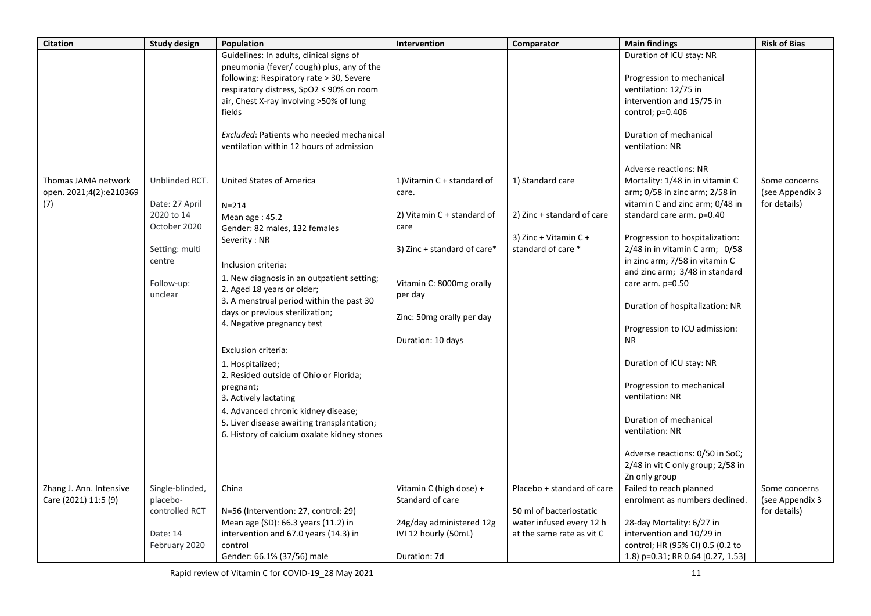| <b>Citation</b>         | <b>Study design</b> | Population                                      | Intervention                 | Comparator                 | <b>Main findings</b>              | <b>Risk of Bias</b> |
|-------------------------|---------------------|-------------------------------------------------|------------------------------|----------------------------|-----------------------------------|---------------------|
|                         |                     | Guidelines: In adults, clinical signs of        |                              |                            | Duration of ICU stay: NR          |                     |
|                         |                     | pneumonia (fever/ cough) plus, any of the       |                              |                            |                                   |                     |
|                         |                     | following: Respiratory rate > 30, Severe        |                              |                            | Progression to mechanical         |                     |
|                         |                     | respiratory distress, SpO2 ≤ 90% on room        |                              |                            | ventilation: 12/75 in             |                     |
|                         |                     | air, Chest X-ray involving >50% of lung         |                              |                            | intervention and 15/75 in         |                     |
|                         |                     | fields                                          |                              |                            | control; $p=0.406$                |                     |
|                         |                     |                                                 |                              |                            |                                   |                     |
|                         |                     | <b>Excluded: Patients who needed mechanical</b> |                              |                            | Duration of mechanical            |                     |
|                         |                     | ventilation within 12 hours of admission        |                              |                            | ventilation: NR                   |                     |
|                         |                     |                                                 |                              |                            |                                   |                     |
|                         |                     |                                                 |                              |                            | Adverse reactions: NR             |                     |
| Thomas JAMA network     | Unblinded RCT.      | <b>United States of America</b>                 | 1) Vitamin $C +$ standard of | 1) Standard care           | Mortality: 1/48 in in vitamin C   | Some concerns       |
| open. 2021;4(2):e210369 |                     |                                                 | care.                        |                            | arm; 0/58 in zinc arm; 2/58 in    | (see Appendix 3     |
| (7)                     | Date: 27 April      | $N = 214$                                       |                              |                            | vitamin C and zinc arm; 0/48 in   | for details)        |
|                         | 2020 to 14          | Mean age: 45.2                                  | 2) Vitamin $C +$ standard of | 2) Zinc + standard of care | standard care arm. p=0.40         |                     |
|                         | October 2020        | Gender: 82 males, 132 females                   | care                         |                            |                                   |                     |
|                         |                     | Severity: NR                                    |                              | 3) Zinc + Vitamin $C +$    | Progression to hospitalization:   |                     |
|                         | Setting: multi      |                                                 | 3) Zinc + standard of care*  | standard of care *         | 2/48 in in vitamin C arm; 0/58    |                     |
|                         | centre              | Inclusion criteria:                             |                              |                            | in zinc arm; 7/58 in vitamin C    |                     |
|                         |                     | 1. New diagnosis in an outpatient setting;      |                              |                            | and zinc arm; 3/48 in standard    |                     |
|                         | Follow-up:          | 2. Aged 18 years or older;                      | Vitamin C: 8000mg orally     |                            | care arm. p=0.50                  |                     |
|                         | unclear             | 3. A menstrual period within the past 30        | per day                      |                            |                                   |                     |
|                         |                     | days or previous sterilization;                 |                              |                            | Duration of hospitalization: NR   |                     |
|                         |                     | 4. Negative pregnancy test                      | Zinc: 50mg orally per day    |                            |                                   |                     |
|                         |                     |                                                 |                              |                            | Progression to ICU admission:     |                     |
|                         |                     |                                                 | Duration: 10 days            |                            | <b>NR</b>                         |                     |
|                         |                     | Exclusion criteria:                             |                              |                            |                                   |                     |
|                         |                     | 1. Hospitalized;                                |                              |                            | Duration of ICU stay: NR          |                     |
|                         |                     | 2. Resided outside of Ohio or Florida;          |                              |                            |                                   |                     |
|                         |                     | pregnant;                                       |                              |                            | Progression to mechanical         |                     |
|                         |                     | 3. Actively lactating                           |                              |                            | ventilation: NR                   |                     |
|                         |                     | 4. Advanced chronic kidney disease;             |                              |                            | Duration of mechanical            |                     |
|                         |                     | 5. Liver disease awaiting transplantation;      |                              |                            | ventilation: NR                   |                     |
|                         |                     | 6. History of calcium oxalate kidney stones     |                              |                            |                                   |                     |
|                         |                     |                                                 |                              |                            | Adverse reactions: 0/50 in SoC;   |                     |
|                         |                     |                                                 |                              |                            | 2/48 in vit C only group; 2/58 in |                     |
|                         |                     |                                                 |                              |                            | Zn only group                     |                     |
| Zhang J. Ann. Intensive | Single-blinded,     | China                                           | Vitamin C (high dose) +      | Placebo + standard of care | Failed to reach planned           | Some concerns       |
| Care (2021) 11:5 (9)    | placebo-            |                                                 | Standard of care             |                            | enrolment as numbers declined.    | (see Appendix 3     |
|                         | controlled RCT      | N=56 (Intervention: 27, control: 29)            |                              | 50 ml of bacteriostatic    |                                   | for details)        |
|                         |                     | Mean age (SD): 66.3 years (11.2) in             | 24g/day administered 12g     | water infused every 12 h   | 28-day Mortality: 6/27 in         |                     |
|                         | Date: 14            | intervention and 67.0 years (14.3) in           | IVI 12 hourly (50mL)         | at the same rate as vit C  | intervention and 10/29 in         |                     |
|                         | February 2020       | control                                         |                              |                            | control; HR (95% CI) 0.5 (0.2 to  |                     |
|                         |                     | Gender: 66.1% (37/56) male                      | Duration: 7d                 |                            | 1.8) p=0.31; RR 0.64 [0.27, 1.53] |                     |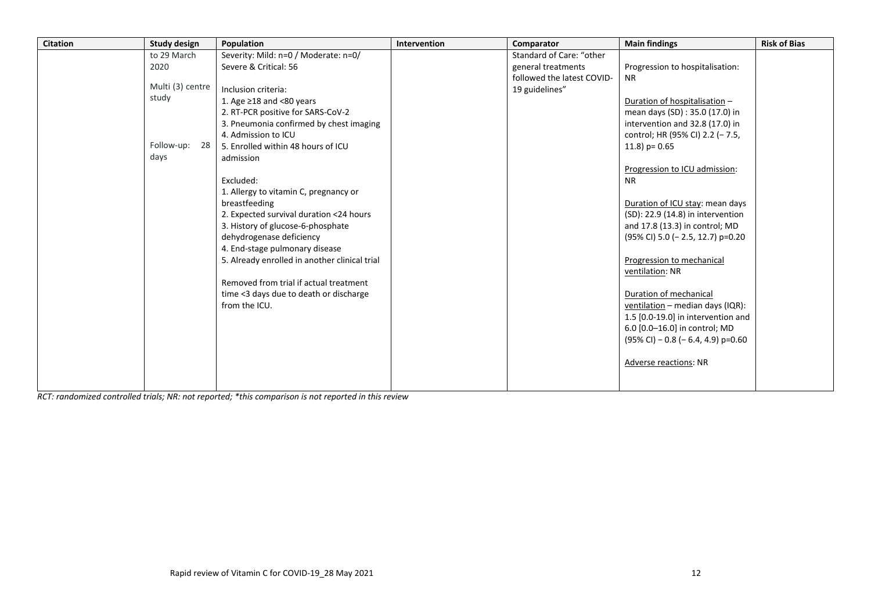| <b>Citation</b> | <b>Study design</b> | Population                                    | <b>Intervention</b> | Comparator                 | <b>Main findings</b>                  | <b>Risk of Bias</b> |
|-----------------|---------------------|-----------------------------------------------|---------------------|----------------------------|---------------------------------------|---------------------|
|                 | to 29 March         | Severity: Mild: n=0 / Moderate: n=0/          |                     | Standard of Care: "other   |                                       |                     |
|                 | 2020                | Severe & Critical: 56                         |                     | general treatments         | Progression to hospitalisation:       |                     |
|                 |                     |                                               |                     | followed the latest COVID- | <b>NR</b>                             |                     |
|                 | Multi (3) centre    | Inclusion criteria:                           |                     | 19 guidelines"             |                                       |                     |
|                 | study               | 1. Age $\geq$ 18 and <80 years                |                     |                            | Duration of hospitalisation -         |                     |
|                 |                     | 2. RT-PCR positive for SARS-CoV-2             |                     |                            | mean days (SD) : 35.0 (17.0) in       |                     |
|                 |                     | 3. Pneumonia confirmed by chest imaging       |                     |                            | intervention and 32.8 (17.0) in       |                     |
|                 |                     | 4. Admission to ICU                           |                     |                            | control; HR (95% CI) 2.2 (- 7.5,      |                     |
|                 | Follow-up:<br>-28   | 5. Enrolled within 48 hours of ICU            |                     |                            | 11.8) $p = 0.65$                      |                     |
|                 | days                | admission                                     |                     |                            |                                       |                     |
|                 |                     |                                               |                     |                            | Progression to ICU admission:         |                     |
|                 |                     | Excluded:                                     |                     |                            | <b>NR</b>                             |                     |
|                 |                     | 1. Allergy to vitamin C, pregnancy or         |                     |                            |                                       |                     |
|                 |                     | breastfeeding                                 |                     |                            | Duration of ICU stay: mean days       |                     |
|                 |                     | 2. Expected survival duration <24 hours       |                     |                            | (SD): 22.9 (14.8) in intervention     |                     |
|                 |                     | 3. History of glucose-6-phosphate             |                     |                            | and 17.8 (13.3) in control; MD        |                     |
|                 |                     | dehydrogenase deficiency                      |                     |                            | (95% CI) 5.0 (- 2.5, 12.7) p=0.20     |                     |
|                 |                     | 4. End-stage pulmonary disease                |                     |                            |                                       |                     |
|                 |                     | 5. Already enrolled in another clinical trial |                     |                            | Progression to mechanical             |                     |
|                 |                     |                                               |                     |                            | ventilation: NR                       |                     |
|                 |                     | Removed from trial if actual treatment        |                     |                            |                                       |                     |
|                 |                     | time <3 days due to death or discharge        |                     |                            | Duration of mechanical                |                     |
|                 |                     | from the ICU.                                 |                     |                            | ventilation - median days (IQR):      |                     |
|                 |                     |                                               |                     |                            | 1.5 [0.0-19.0] in intervention and    |                     |
|                 |                     |                                               |                     |                            | 6.0 [0.0-16.0] in control; MD         |                     |
|                 |                     |                                               |                     |                            | $(95\%$ CI) - 0.8 (- 6.4, 4.9) p=0.60 |                     |
|                 |                     |                                               |                     |                            |                                       |                     |
|                 |                     |                                               |                     |                            | <b>Adverse reactions: NR</b>          |                     |
|                 |                     |                                               |                     |                            |                                       |                     |
|                 |                     |                                               |                     |                            |                                       |                     |

*RCT: randomized controlled trials; NR: not reported; \*this comparison is not reported in this review*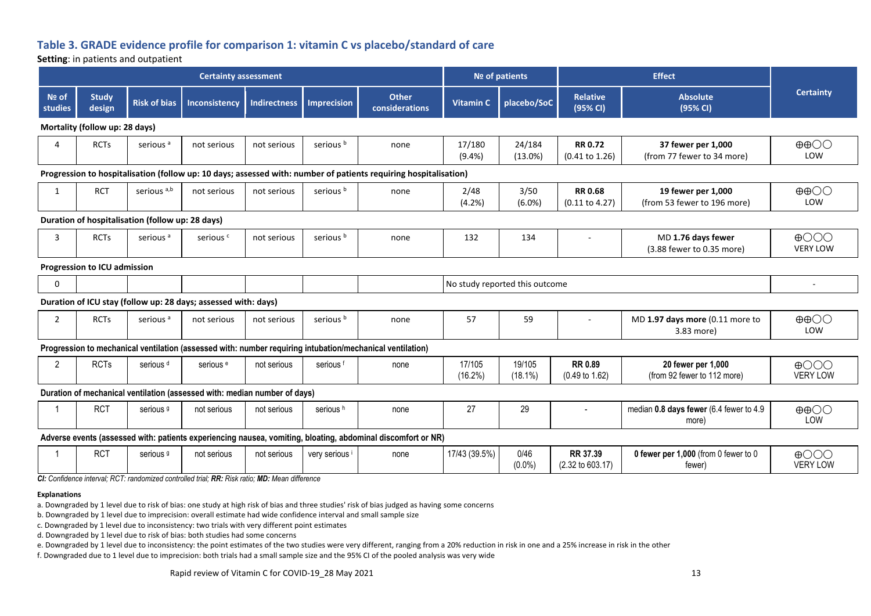## **Table 3. GRADE evidence profile for comparison 1: vitamin C vs placebo/standard of care**

#### **Setting**: in patients and outpatient

|                                                                                                                  |                                     |                                                  | <b>Certainty assessment</b>                                               |                     |                      |                                                                                                              |                      | Nº of patients                 |                                             | <b>Effect</b>                                     |                                    |  |
|------------------------------------------------------------------------------------------------------------------|-------------------------------------|--------------------------------------------------|---------------------------------------------------------------------------|---------------------|----------------------|--------------------------------------------------------------------------------------------------------------|----------------------|--------------------------------|---------------------------------------------|---------------------------------------------------|------------------------------------|--|
| Nº of<br>studies                                                                                                 | <b>Study</b><br>design              | <b>Risk of bias</b>                              | Inconsistency                                                             | <b>Indirectness</b> | Imprecision          | <b>Other</b><br>considerations                                                                               | <b>Vitamin C</b>     | placebo/SoC                    | <b>Relative</b><br>(95% CI)                 | <b>Absolute</b><br>(95% CI)                       | <b>Certainty</b>                   |  |
|                                                                                                                  | Mortality (follow up: 28 days)      |                                                  |                                                                           |                     |                      |                                                                                                              |                      |                                |                                             |                                                   |                                    |  |
| $\Delta$                                                                                                         | <b>RCTs</b>                         | serious <sup>a</sup>                             | not serious                                                               | not serious         | serious <sup>b</sup> | none                                                                                                         | 17/180<br>(9.4% )    | 24/184<br>(13.0%)              | <b>RR 0.72</b><br>(0.41 to 1.26)            | 37 fewer per 1,000<br>(from 77 fewer to 34 more)  | $\oplus$ $\oplus$<br>LOW           |  |
| Progression to hospitalisation (follow up: 10 days; assessed with: number of patients requiring hospitalisation) |                                     |                                                  |                                                                           |                     |                      |                                                                                                              |                      |                                |                                             |                                                   |                                    |  |
| 1                                                                                                                | <b>RCT</b>                          | serious <sup>a,b</sup>                           | not serious                                                               | not serious         | serious <sup>b</sup> | none                                                                                                         | 2/48<br>(4.2%)       | 3/50<br>$(6.0\%)$              | <b>RR 0.68</b><br>$(0.11$ to 4.27)          | 19 fewer per 1,000<br>(from 53 fewer to 196 more) | $\oplus$ $\oplus$<br>LOW           |  |
|                                                                                                                  |                                     | Duration of hospitalisation (follow up: 28 days) |                                                                           |                     |                      |                                                                                                              |                      |                                |                                             |                                                   |                                    |  |
| 3                                                                                                                | <b>RCTs</b>                         | serious <sup>a</sup>                             | serious <sup>c</sup>                                                      | not serious         | serious <sup>b</sup> | none                                                                                                         | 132                  | 134                            |                                             | MD 1.76 days fewer<br>(3.88 fewer to 0.35 more)   | $\bigoplus$ OOO<br><b>VERY LOW</b> |  |
|                                                                                                                  | <b>Progression to ICU admission</b> |                                                  |                                                                           |                     |                      |                                                                                                              |                      |                                |                                             |                                                   |                                    |  |
| $\mathbf 0$                                                                                                      |                                     |                                                  |                                                                           |                     |                      |                                                                                                              |                      | No study reported this outcome |                                             |                                                   |                                    |  |
|                                                                                                                  |                                     |                                                  | Duration of ICU stay (follow up: 28 days; assessed with: days)            |                     |                      |                                                                                                              |                      |                                |                                             |                                                   |                                    |  |
| 2                                                                                                                | <b>RCTs</b>                         | serious <sup>a</sup>                             | not serious                                                               | not serious         | serious <sup>b</sup> | none                                                                                                         | 57                   | 59                             | $\sim$                                      | MD 1.97 days more (0.11 more to<br>3.83 more)     | $\oplus$ $\oplus$<br>LOW           |  |
|                                                                                                                  |                                     |                                                  |                                                                           |                     |                      | Progression to mechanical ventilation (assessed with: number requiring intubation/mechanical ventilation)    |                      |                                |                                             |                                                   |                                    |  |
| $\overline{2}$                                                                                                   | <b>RCTs</b>                         | serious <sup>d</sup>                             | serious <sup>e</sup>                                                      | not serious         | serious <sup>f</sup> | none                                                                                                         | 17/105<br>$(16.2\%)$ | 19/105<br>$(18.1\%)$           | <b>RR 0.89</b><br>$(0.49 \text{ to } 1.62)$ | 20 fewer per 1,000<br>(from 92 fewer to 112 more) | $\bigoplus$ OOO<br><b>VERY LOW</b> |  |
|                                                                                                                  |                                     |                                                  | Duration of mechanical ventilation (assessed with: median number of days) |                     |                      |                                                                                                              |                      |                                |                                             |                                                   |                                    |  |
|                                                                                                                  | <b>RCT</b>                          | serious <sup>9</sup>                             | not serious                                                               | not serious         | serious <sup>h</sup> | none                                                                                                         | 27                   | 29                             |                                             | median 0.8 days fewer (6.4 fewer to 4.9<br>more)  | $\oplus$ $\oplus$<br>LOW           |  |
|                                                                                                                  |                                     |                                                  |                                                                           |                     |                      | Adverse events (assessed with: patients experiencing nausea, vomiting, bloating, abdominal discomfort or NR) |                      |                                |                                             |                                                   |                                    |  |
|                                                                                                                  | <b>RCT</b>                          | serious <sup>9</sup>                             | not serious                                                               | not serious         | very serious         | none                                                                                                         | 17/43 (39.5%)        | 0/46<br>$(0.0\%)$              | RR 37.39<br>$(2.32 \text{ to } 603.17)$     | 0 fewer per 1,000 (from 0 fewer to 0<br>fewer)    | $\bigoplus$ OOO<br><b>VERY LOW</b> |  |

*CI: Confidence interval; RCT: randomized controlled trial; RR: Risk ratio; MD: Mean difference*

#### **Explanations**

a. Downgraded by 1 level due to risk of bias: one study at high risk of bias and three studies' risk of bias judged as having some concerns

b. Downgraded by 1 level due to imprecision: overall estimate had wide confidence interval and small sample size

c. Downgraded by 1 level due to inconsistency: two trials with very different point estimates

d. Downgraded by 1 level due to risk of bias: both studies had some concerns

e. Downgraded by 1 level due to inconsistency: the point estimates of the two studies were very different, ranging from a 20% reduction in risk in one and a 25% increase in risk in the other

f. Downgraded due to 1 level due to imprecision: both trials had a small sample size and the 95% CI of the pooled analysis was very wide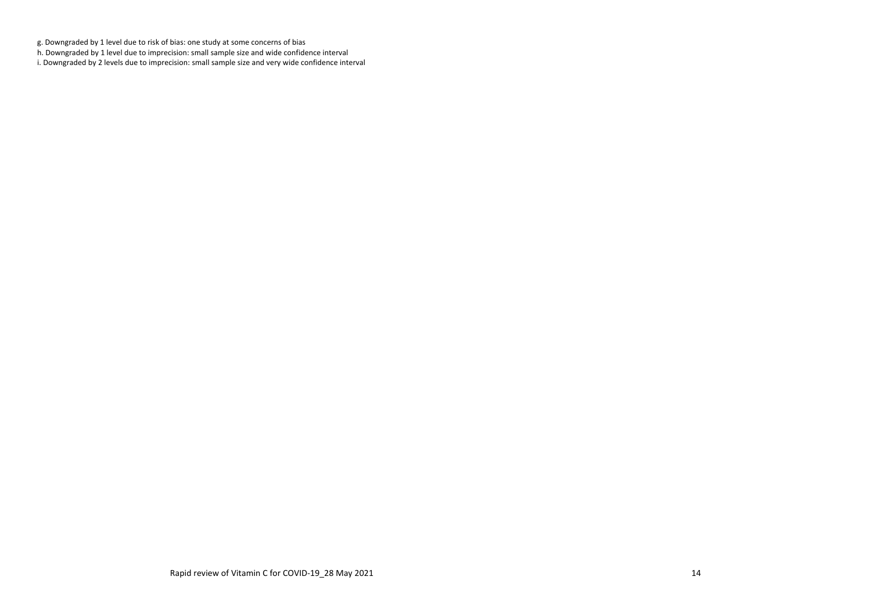g. Downgraded by 1 level due to risk of bias: one study at some concerns of bias

h. Downgraded by 1 level due to imprecision: small sample size and wide confidence interval

i. Downgraded by 2 levels due to imprecision: small sample size and very wide confidence interval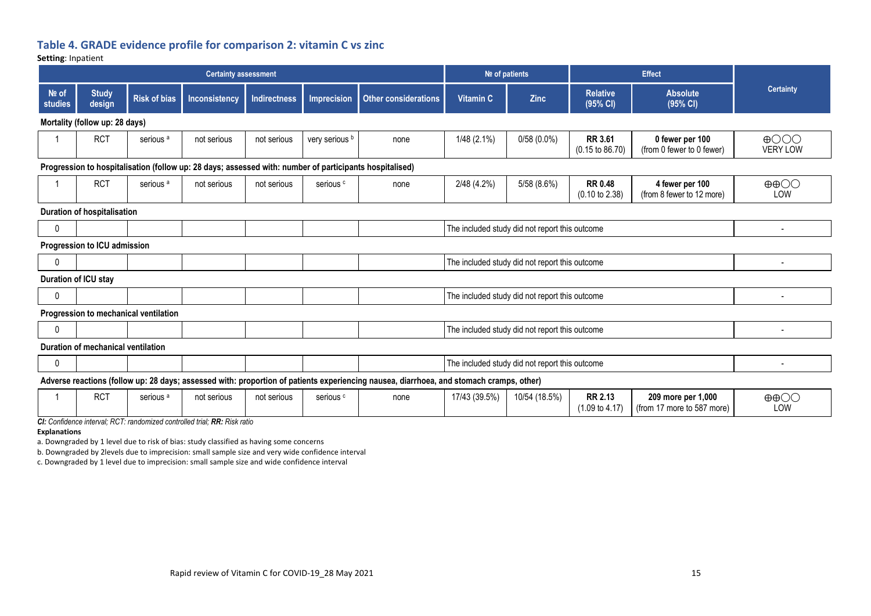# **Table 4. GRADE evidence profile for comparison 2: vitamin C vs zinc**

#### **Setting**: Inpatient

|                                                                                                         |                                                                                                                                         |                                       | <b>Certainty assessment</b> |                     |                      |                      | Nº of patients |                                                |                                              | <b>Effect</b>                                    |                                    |  |
|---------------------------------------------------------------------------------------------------------|-----------------------------------------------------------------------------------------------------------------------------------------|---------------------------------------|-----------------------------|---------------------|----------------------|----------------------|----------------|------------------------------------------------|----------------------------------------------|--------------------------------------------------|------------------------------------|--|
| Nº of<br>studies                                                                                        | <b>Study</b><br>design                                                                                                                  | <b>Risk of bias</b>                   | Inconsistency               | <b>Indirectness</b> | <b>Imprecision</b>   | Other considerations | Vitamin C      | <b>Zinc</b>                                    | <b>Relative</b><br>(95% CI)                  | <b>Absolute</b><br>(95% CI)                      | <b>Certainty</b>                   |  |
|                                                                                                         | Mortality (follow up: 28 days)                                                                                                          |                                       |                             |                     |                      |                      |                |                                                |                                              |                                                  |                                    |  |
|                                                                                                         | <b>RCT</b>                                                                                                                              | serious <sup>a</sup>                  | not serious                 | not serious         | very serious b       | none                 | $1/48$ (2.1%)  | $0/58(0.0\%)$                                  | <b>RR 3.61</b><br>$(0.15 \text{ to } 86.70)$ | 0 fewer per 100<br>(from 0 fewer to 0 fewer)     | $\bigoplus$ OOO<br><b>VERY LOW</b> |  |
| Progression to hospitalisation (follow up: 28 days; assessed with: number of participants hospitalised) |                                                                                                                                         |                                       |                             |                     |                      |                      |                |                                                |                                              |                                                  |                                    |  |
|                                                                                                         | <b>RCT</b>                                                                                                                              | serious <sup>a</sup>                  | not serious                 | not serious         | serious <sup>c</sup> | none                 | 2/48 (4.2%)    | 5/58 (8.6%)                                    | <b>RR 0.48</b><br>$(0.10 \text{ to } 2.38)$  | 4 fewer per 100<br>(from 8 fewer to 12 more)     | $\oplus$ $\oplus$<br>LOW           |  |
|                                                                                                         | Duration of hospitalisation                                                                                                             |                                       |                             |                     |                      |                      |                |                                                |                                              |                                                  |                                    |  |
| $\mathbf{0}$                                                                                            |                                                                                                                                         |                                       |                             |                     |                      |                      |                | The included study did not report this outcome |                                              |                                                  |                                    |  |
|                                                                                                         | Progression to ICU admission                                                                                                            |                                       |                             |                     |                      |                      |                |                                                |                                              |                                                  |                                    |  |
| 0                                                                                                       |                                                                                                                                         |                                       |                             |                     |                      |                      |                | The included study did not report this outcome |                                              |                                                  | ٠                                  |  |
|                                                                                                         | Duration of ICU stay                                                                                                                    |                                       |                             |                     |                      |                      |                |                                                |                                              |                                                  |                                    |  |
| 0                                                                                                       |                                                                                                                                         |                                       |                             |                     |                      |                      |                | The included study did not report this outcome |                                              |                                                  |                                    |  |
|                                                                                                         |                                                                                                                                         | Progression to mechanical ventilation |                             |                     |                      |                      |                |                                                |                                              |                                                  |                                    |  |
| 0                                                                                                       |                                                                                                                                         |                                       |                             |                     |                      |                      |                | The included study did not report this outcome |                                              |                                                  |                                    |  |
|                                                                                                         | Duration of mechanical ventilation                                                                                                      |                                       |                             |                     |                      |                      |                |                                                |                                              |                                                  |                                    |  |
| 0                                                                                                       | The included study did not report this outcome                                                                                          |                                       |                             |                     |                      |                      |                |                                                |                                              |                                                  |                                    |  |
|                                                                                                         | Adverse reactions (follow up: 28 days; assessed with: proportion of patients experiencing nausea, diarrhoea, and stomach cramps, other) |                                       |                             |                     |                      |                      |                |                                                |                                              |                                                  |                                    |  |
|                                                                                                         | <b>RCT</b>                                                                                                                              | serious <sup>a</sup>                  | not serious                 | not serious         | serious <sup>c</sup> | none                 | 17/43 (39.5%)  | 10/54 (18.5%)                                  | <b>RR 2.13</b><br>$(1.09 \text{ to } 4.17)$  | 209 more per 1,000<br>(from 17 more to 587 more) | $\oplus$ $\oplus$ $\odot$<br>LOW   |  |

*CI: Confidence interval; RCT: randomized controlled trial; RR: Risk ratio*

**Explanations**

a. Downgraded by 1 level due to risk of bias: study classified as having some concerns

b. Downgraded by 2levels due to imprecision: small sample size and very wide confidence interval

c. Downgraded by 1 level due to imprecision: small sample size and wide confidence interval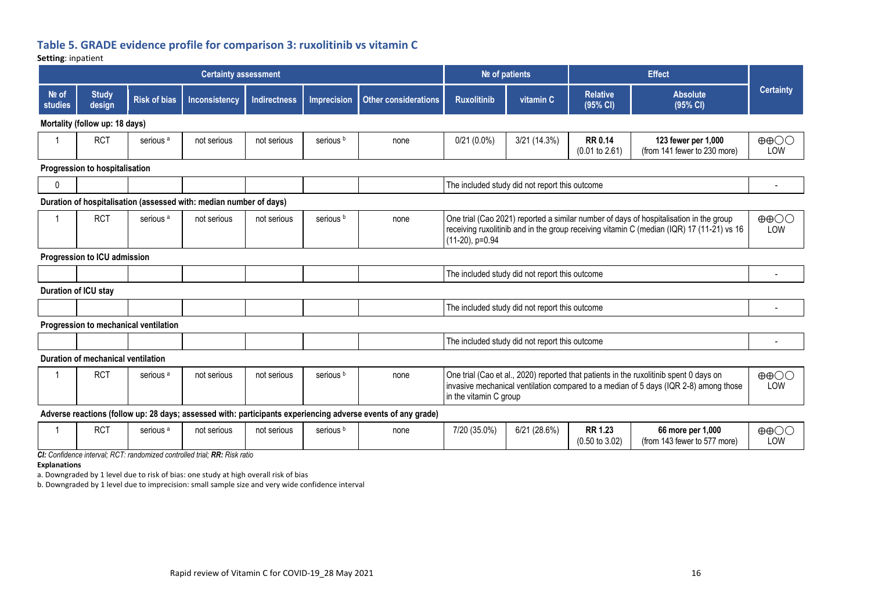# **Table 5. GRADE evidence profile for comparison 3: ruxolitinib vs vitamin C**

**Setting**: inpatient

|                           | <b>Certainty assessment</b>        |                                       |                                                                                             |                     |                      | <b>Effect</b><br>Nº of patients                                                                              |                        |                                                |                                             |                                                                                                                                                                                     |                                   |
|---------------------------|------------------------------------|---------------------------------------|---------------------------------------------------------------------------------------------|---------------------|----------------------|--------------------------------------------------------------------------------------------------------------|------------------------|------------------------------------------------|---------------------------------------------|-------------------------------------------------------------------------------------------------------------------------------------------------------------------------------------|-----------------------------------|
| $Ne$ of<br><b>studies</b> | <b>Study</b><br>design             | <b>Risk of bias</b>                   | Inconsistency                                                                               | <b>Indirectness</b> | <b>Imprecision</b>   | <b>Other considerations</b>                                                                                  | <b>Ruxolitinib</b>     | vitamin C                                      | <b>Relative</b><br>(95% CI)                 | <b>Absolute</b><br>(95% CI)                                                                                                                                                         | <b>Certainty</b>                  |
|                           | Mortality (follow up: 18 days)     |                                       |                                                                                             |                     |                      |                                                                                                              |                        |                                                |                                             |                                                                                                                                                                                     |                                   |
|                           | <b>RCT</b>                         | serious <sup>a</sup>                  | not serious                                                                                 | not serious         | serious <sup>b</sup> | none                                                                                                         | $0/21(0.0\%)$          | 3/21 (14.3%)                                   | <b>RR 0.14</b><br>$(0.01$ to 2.61)          | 123 fewer per 1,000<br>(from 141 fewer to 230 more)                                                                                                                                 | $\oplus$ $\oplus$<br>LOW          |
|                           | Progression to hospitalisation     |                                       |                                                                                             |                     |                      |                                                                                                              |                        |                                                |                                             |                                                                                                                                                                                     |                                   |
| $\mathbf{0}$              |                                    |                                       |                                                                                             |                     |                      |                                                                                                              |                        | The included study did not report this outcome |                                             |                                                                                                                                                                                     |                                   |
|                           |                                    |                                       | Duration of hospitalisation (assessed with: median number of days)                          |                     |                      |                                                                                                              |                        |                                                |                                             |                                                                                                                                                                                     |                                   |
|                           | <b>RCT</b>                         | serious <sup>a</sup>                  | not serious                                                                                 | not serious         | serious <sup>b</sup> | none                                                                                                         | (11-20), p=0.94        |                                                |                                             | One trial (Cao 2021) reported a similar number of days of hospitalisation in the group<br>receiving ruxolitinib and in the group receiving vitamin C (median (IQR) 17 (11-21) vs 16 | $\oplus$ $\oplus$<br>LOW          |
|                           | Progression to ICU admission       |                                       |                                                                                             |                     |                      |                                                                                                              |                        |                                                |                                             |                                                                                                                                                                                     |                                   |
|                           |                                    |                                       |                                                                                             |                     |                      |                                                                                                              |                        | The included study did not report this outcome |                                             |                                                                                                                                                                                     |                                   |
|                           | Duration of ICU stay               |                                       |                                                                                             |                     |                      |                                                                                                              |                        |                                                |                                             |                                                                                                                                                                                     |                                   |
|                           |                                    |                                       |                                                                                             |                     |                      |                                                                                                              |                        | The included study did not report this outcome |                                             |                                                                                                                                                                                     |                                   |
|                           |                                    | Progression to mechanical ventilation |                                                                                             |                     |                      |                                                                                                              |                        |                                                |                                             |                                                                                                                                                                                     |                                   |
|                           |                                    |                                       |                                                                                             |                     |                      |                                                                                                              |                        | The included study did not report this outcome |                                             |                                                                                                                                                                                     |                                   |
|                           | Duration of mechanical ventilation |                                       |                                                                                             |                     |                      |                                                                                                              |                        |                                                |                                             |                                                                                                                                                                                     |                                   |
| -1                        | <b>RCT</b>                         | serious <sup>a</sup>                  | not serious                                                                                 | not serious         | serious <sup>b</sup> | none                                                                                                         | in the vitamin C group |                                                |                                             | One trial (Cao et al., 2020) reported that patients in the ruxolitinib spent 0 days on<br>invasive mechanical ventilation compared to a median of 5 days (IQR 2-8) among those      | $\Theta$ $\Theta$ $\Theta$<br>LOW |
|                           |                                    |                                       |                                                                                             |                     |                      | Adverse reactions (follow up: 28 days; assessed with: participants experiencing adverse events of any grade) |                        |                                                |                                             |                                                                                                                                                                                     |                                   |
|                           | <b>RCT</b>                         | serious <sup>a</sup>                  | not serious<br>Ole Confidence interest: DCT: membersia al controllo diviol: DD: Dict: matio | not serious         | serious <sup>b</sup> | none                                                                                                         | 7/20 (35.0%)           | 6/21(28.6%)                                    | <b>RR 1.23</b><br>$(0.50 \text{ to } 3.02)$ | 66 more per 1,000<br>(from 143 fewer to 577 more)                                                                                                                                   | $\oplus$ $\oplus$<br>LOW          |

*CI: Confidence interval; RCT: randomized controlled trial; RR: Risk ratio*

#### **Explanations**

a. Downgraded by 1 level due to risk of bias: one study at high overall risk of bias

b. Downgraded by 1 level due to imprecision: small sample size and very wide confidence interval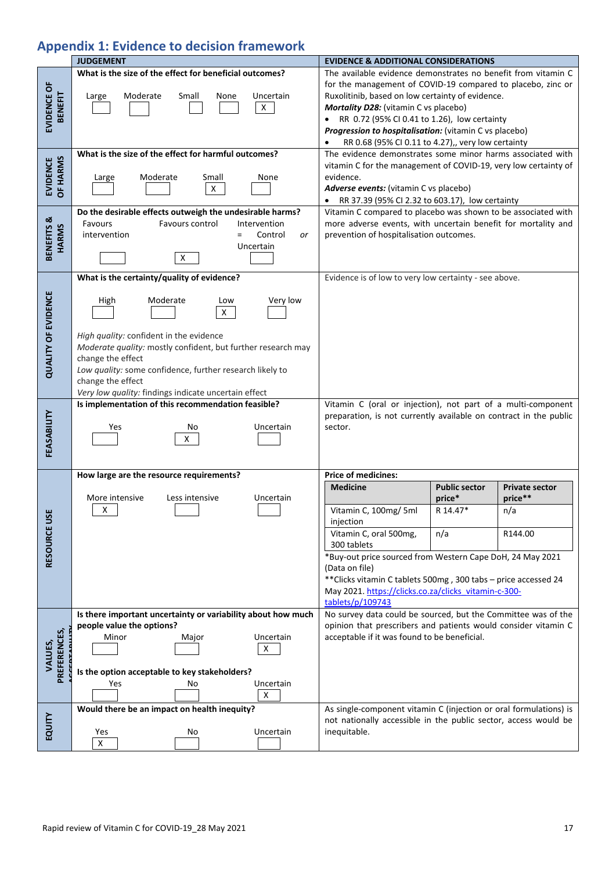# **Appendix 1: Evidence to decision framework**

|                               | <b>JUDGEMENT</b>                                                                                                                                                                                                                                                                                                             | <b>EVIDENCE &amp; ADDITIONAL CONSIDERATIONS</b>                                                                                                                                                                                                                                                                                                                                             |  |  |  |
|-------------------------------|------------------------------------------------------------------------------------------------------------------------------------------------------------------------------------------------------------------------------------------------------------------------------------------------------------------------------|---------------------------------------------------------------------------------------------------------------------------------------------------------------------------------------------------------------------------------------------------------------------------------------------------------------------------------------------------------------------------------------------|--|--|--|
| EVIDENCE OF<br><b>BENEFIT</b> | What is the size of the effect for beneficial outcomes?<br>Moderate<br>Small<br>Uncertain<br>Large<br>None<br>$\mathsf X$                                                                                                                                                                                                    | The available evidence demonstrates no benefit from vitamin C<br>for the management of COVID-19 compared to placebo, zinc or<br>Ruxolitinib, based on low certainty of evidence.<br>Mortality D28: (vitamin C vs placebo)<br>• RR 0.72 (95% CI 0.41 to 1.26), low certainty<br>Progression to hospitalisation: (vitamin C vs placebo)<br>RR 0.68 (95% CI 0.11 to 4.27),, very low certainty |  |  |  |
| OF HARMS<br><b>EVIDENCE</b>   | What is the size of the effect for harmful outcomes?<br>Moderate<br>Small<br>None<br>Large<br>$\mathsf X$                                                                                                                                                                                                                    | The evidence demonstrates some minor harms associated with<br>vitamin C for the management of COVID-19, very low certainty of<br>evidence.<br>Adverse events: (vitamin C vs placebo)<br>• RR 37.39 (95% CI 2.32 to 603.17), low certainty                                                                                                                                                   |  |  |  |
| BENEFITS &<br><b>HARMS</b>    | Do the desirable effects outweigh the undesirable harms?<br>Favours control<br>Intervention<br>Favours<br>Control<br>intervention<br>or<br>Uncertain<br>x                                                                                                                                                                    | Vitamin C compared to placebo was shown to be associated with<br>more adverse events, with uncertain benefit for mortality and<br>prevention of hospitalisation outcomes.                                                                                                                                                                                                                   |  |  |  |
|                               | What is the certainty/quality of evidence?                                                                                                                                                                                                                                                                                   | Evidence is of low to very low certainty - see above.                                                                                                                                                                                                                                                                                                                                       |  |  |  |
| <b>QUALITY OF EVIDENCE</b>    | Very low<br>High<br>Moderate<br>Low<br>$\mathsf{X}$<br>High quality: confident in the evidence<br>Moderate quality: mostly confident, but further research may<br>change the effect<br>Low quality: some confidence, further research likely to<br>change the effect<br>Very low quality: findings indicate uncertain effect |                                                                                                                                                                                                                                                                                                                                                                                             |  |  |  |
|                               | Is implementation of this recommendation feasible?                                                                                                                                                                                                                                                                           | Vitamin C (oral or injection), not part of a multi-component                                                                                                                                                                                                                                                                                                                                |  |  |  |
| FEASABILITY                   | Yes<br>No<br>Uncertain<br>X                                                                                                                                                                                                                                                                                                  | preparation, is not currently available on contract in the public<br>sector.                                                                                                                                                                                                                                                                                                                |  |  |  |
|                               | How large are the resource requirements?                                                                                                                                                                                                                                                                                     | <b>Price of medicines:</b>                                                                                                                                                                                                                                                                                                                                                                  |  |  |  |
|                               | More intensive<br>Less intensive<br>Uncertain                                                                                                                                                                                                                                                                                | <b>Public sector</b><br><b>Medicine</b><br><b>Private sector</b><br>price**<br>price*                                                                                                                                                                                                                                                                                                       |  |  |  |
| 55                            | х                                                                                                                                                                                                                                                                                                                            | R 14.47*<br>Vitamin C, 100mg/ 5ml<br>n/a<br>injection                                                                                                                                                                                                                                                                                                                                       |  |  |  |
|                               |                                                                                                                                                                                                                                                                                                                              | Vitamin C, oral 500mg,<br>n/a<br>R144.00<br>300 tablets                                                                                                                                                                                                                                                                                                                                     |  |  |  |
| RESOURCE U                    |                                                                                                                                                                                                                                                                                                                              | *Buy-out price sourced from Western Cape DoH, 24 May 2021<br>(Data on file)<br>** Clicks vitamin C tablets 500mg, 300 tabs - price accessed 24<br>May 2021. https://clicks.co.za/clicks_vitamin-c-300-<br>tablets/p/109743                                                                                                                                                                  |  |  |  |
|                               | Is there important uncertainty or variability about how much                                                                                                                                                                                                                                                                 | No survey data could be sourced, but the Committee was of the                                                                                                                                                                                                                                                                                                                               |  |  |  |
|                               | people value the options?<br>Minor<br>Uncertain<br>Major                                                                                                                                                                                                                                                                     | opinion that prescribers and patients would consider vitamin C<br>acceptable if it was found to be beneficial.                                                                                                                                                                                                                                                                              |  |  |  |
| PREFERENCES,<br>VALUES,       | X                                                                                                                                                                                                                                                                                                                            |                                                                                                                                                                                                                                                                                                                                                                                             |  |  |  |
|                               | Is the option acceptable to key stakeholders?                                                                                                                                                                                                                                                                                |                                                                                                                                                                                                                                                                                                                                                                                             |  |  |  |
|                               | Uncertain<br>Yes<br>No<br>X                                                                                                                                                                                                                                                                                                  |                                                                                                                                                                                                                                                                                                                                                                                             |  |  |  |
|                               | Would there be an impact on health inequity?                                                                                                                                                                                                                                                                                 | As single-component vitamin C (injection or oral formulations) is                                                                                                                                                                                                                                                                                                                           |  |  |  |
| EQUITY                        | Uncertain<br>Yes<br>No                                                                                                                                                                                                                                                                                                       | not nationally accessible in the public sector, access would be<br>inequitable.                                                                                                                                                                                                                                                                                                             |  |  |  |
|                               | $\pmb{\mathsf{X}}$                                                                                                                                                                                                                                                                                                           |                                                                                                                                                                                                                                                                                                                                                                                             |  |  |  |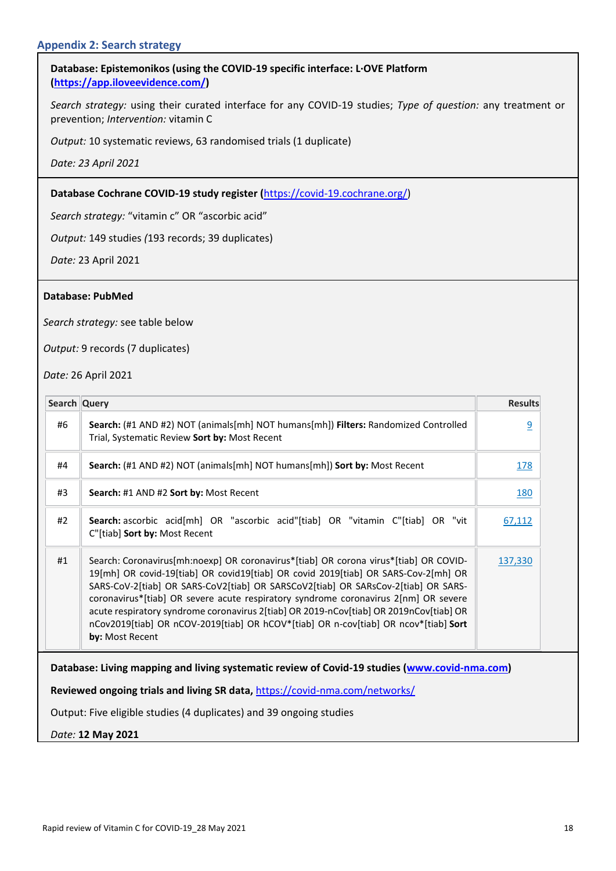## **Database: Epistemonikos (using the COVID-19 specific interface: L·OVE Platform [\(https://app.iloveevidence.com/\)](https://app.iloveevidence.com/)**

*Search strategy:* using their curated interface for any COVID-19 studies; *Type of question:* any treatment or prevention; *Intervention:* vitamin C

*Output:* 10 systematic reviews, 63 randomised trials (1 duplicate)

*Date: 23 April 2021*

### **Database Cochrane COVID-19 study register (**[https://covid-19.cochrane.org/\)](https://covid-19.cochrane.org/)

*Search strategy:* "vitamin c" OR "ascorbic acid"

*Output:* 149 studies *(*193 records; 39 duplicates)

*Date:* 23 April 2021

#### **Database: PubMed**

*Search strategy:* see table below

*Output:* 9 records (7 duplicates)

*Date:* 26 April 2021

| Search Query |                                                                                                                                                                                                                                                                                                                                                                                                                                                                                                                                                            | <b>Results</b> |
|--------------|------------------------------------------------------------------------------------------------------------------------------------------------------------------------------------------------------------------------------------------------------------------------------------------------------------------------------------------------------------------------------------------------------------------------------------------------------------------------------------------------------------------------------------------------------------|----------------|
| #6           | Search: (#1 AND #2) NOT (animals[mh] NOT humans[mh]) Filters: Randomized Controlled<br>Trial, Systematic Review Sort by: Most Recent                                                                                                                                                                                                                                                                                                                                                                                                                       | $\overline{9}$ |
| #4           | <b>Search:</b> (#1 AND #2) NOT (animals[mh] NOT humans[mh]) <b>Sort by:</b> Most Recent                                                                                                                                                                                                                                                                                                                                                                                                                                                                    | <u>178</u>     |
| #3           | Search: #1 AND #2 Sort by: Most Recent                                                                                                                                                                                                                                                                                                                                                                                                                                                                                                                     | <b>180</b>     |
| #2           | Search: ascorbic acid[mh] OR "ascorbic acid"[tiab] OR "vitamin C"[tiab] OR "vit<br>C"[tiab] Sort by: Most Recent                                                                                                                                                                                                                                                                                                                                                                                                                                           | 67,112         |
| #1           | Search: Coronavirus[mh:noexp] OR coronavirus*[tiab] OR corona virus*[tiab] OR COVID-<br>19[mh] OR covid-19[tiab] OR covid19[tiab] OR covid 2019[tiab] OR SARS-Cov-2[mh] OR<br>SARS-CoV-2[tiab] OR SARS-CoV2[tiab] OR SARSCoV2[tiab] OR SARsCov-2[tiab] OR SARS-<br>coronavirus*[tiab] OR severe acute respiratory syndrome coronavirus 2[nm] OR severe<br>acute respiratory syndrome coronavirus 2[tiab] OR 2019-nCov[tiab] OR 2019nCov[tiab] OR<br>nCov2019[tiab] OR nCOV-2019[tiab] OR hCOV*[tiab] OR n-cov[tiab] OR ncov*[tiab] Sort<br>by: Most Recent | 137,330        |
|              | Database: Living mapping and living systematic review of Covid-19 studies (www.covid-nma.com)                                                                                                                                                                                                                                                                                                                                                                                                                                                              |                |
|              | Reviewed ongoing trials and living SR data, https://covid-nma.com/networks/                                                                                                                                                                                                                                                                                                                                                                                                                                                                                |                |
|              | Output: Five eligible studies (4 duplicates) and 39 ongoing studies                                                                                                                                                                                                                                                                                                                                                                                                                                                                                        |                |
|              | Date: 12 May 2021                                                                                                                                                                                                                                                                                                                                                                                                                                                                                                                                          |                |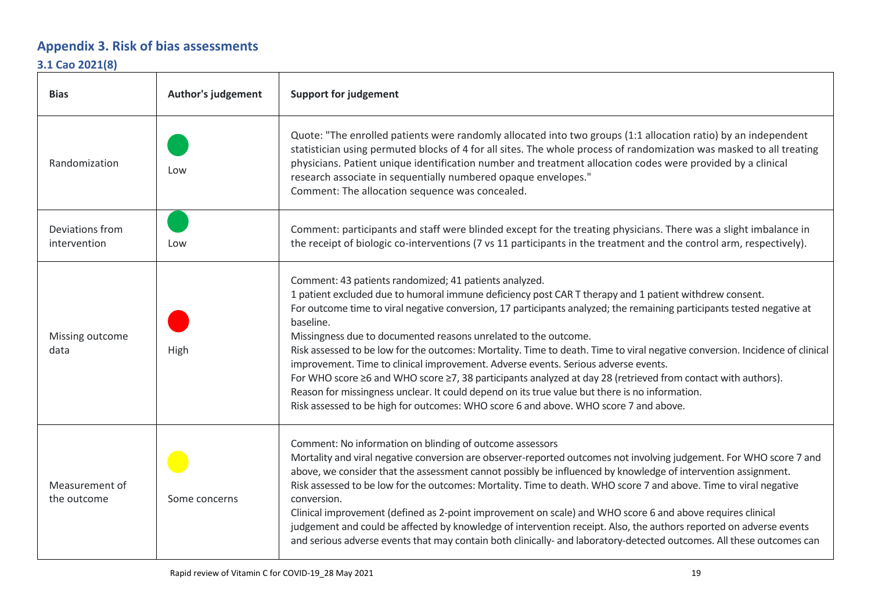# **Appendix 3. Risk of bias assessments**

# **3.1 Cao 2021(8)**

| <b>Bias</b>                     | <b>Author's judgement</b> | <b>Support for judgement</b>                                                                                                                                                                                                                                                                                                                                                                                                                                                                                                                                                                                                                                                                                                                                                                                                                                                                               |
|---------------------------------|---------------------------|------------------------------------------------------------------------------------------------------------------------------------------------------------------------------------------------------------------------------------------------------------------------------------------------------------------------------------------------------------------------------------------------------------------------------------------------------------------------------------------------------------------------------------------------------------------------------------------------------------------------------------------------------------------------------------------------------------------------------------------------------------------------------------------------------------------------------------------------------------------------------------------------------------|
| Randomization                   | Low                       | Quote: "The enrolled patients were randomly allocated into two groups (1:1 allocation ratio) by an independent<br>statistician using permuted blocks of 4 for all sites. The whole process of randomization was masked to all treating<br>physicians. Patient unique identification number and treatment allocation codes were provided by a clinical<br>research associate in sequentially numbered opaque envelopes."<br>Comment: The allocation sequence was concealed.                                                                                                                                                                                                                                                                                                                                                                                                                                 |
| Deviations from<br>intervention | Low                       | Comment: participants and staff were blinded except for the treating physicians. There was a slight imbalance in<br>the receipt of biologic co-interventions (7 vs 11 participants in the treatment and the control arm, respectively).                                                                                                                                                                                                                                                                                                                                                                                                                                                                                                                                                                                                                                                                    |
| Missing outcome<br>data         | High                      | Comment: 43 patients randomized; 41 patients analyzed.<br>1 patient excluded due to humoral immune deficiency post CAR T therapy and 1 patient withdrew consent.<br>For outcome time to viral negative conversion, 17 participants analyzed; the remaining participants tested negative at<br>baseline.<br>Missingness due to documented reasons unrelated to the outcome.<br>Risk assessed to be low for the outcomes: Mortality. Time to death. Time to viral negative conversion. Incidence of clinical<br>improvement. Time to clinical improvement. Adverse events. Serious adverse events.<br>For WHO score ≥6 and WHO score ≥7, 38 participants analyzed at day 28 (retrieved from contact with authors).<br>Reason for missingness unclear. It could depend on its true value but there is no information.<br>Risk assessed to be high for outcomes: WHO score 6 and above. WHO score 7 and above. |
| Measurement of<br>the outcome   | Some concerns             | Comment: No information on blinding of outcome assessors<br>Mortality and viral negative conversion are observer-reported outcomes not involving judgement. For WHO score 7 and<br>above, we consider that the assessment cannot possibly be influenced by knowledge of intervention assignment.<br>Risk assessed to be low for the outcomes: Mortality. Time to death. WHO score 7 and above. Time to viral negative<br>conversion.<br>Clinical improvement (defined as 2-point improvement on scale) and WHO score 6 and above requires clinical<br>judgement and could be affected by knowledge of intervention receipt. Also, the authors reported on adverse events<br>and serious adverse events that may contain both clinically- and laboratory-detected outcomes. All these outcomes can                                                                                                          |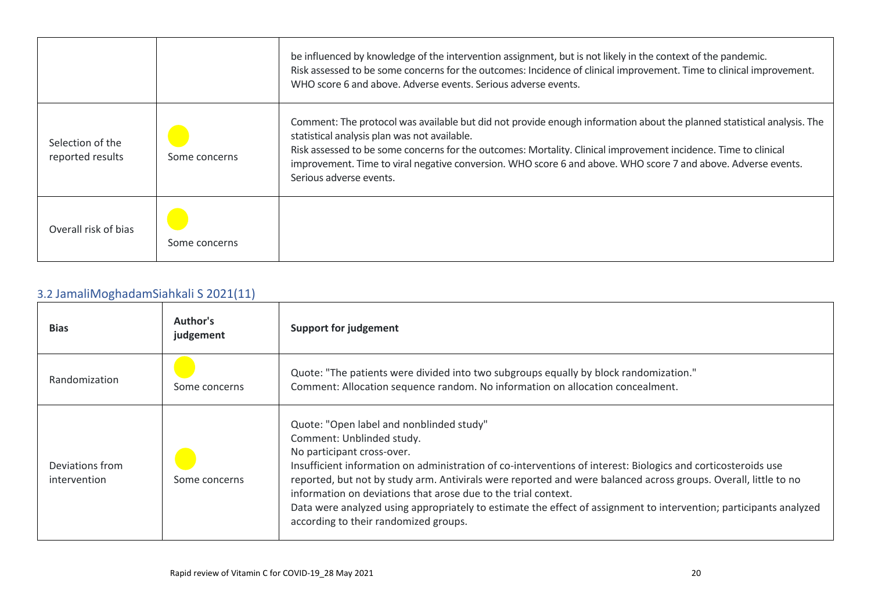|                                      |               | be influenced by knowledge of the intervention assignment, but is not likely in the context of the pandemic.<br>Risk assessed to be some concerns for the outcomes: Incidence of clinical improvement. Time to clinical improvement.<br>WHO score 6 and above. Adverse events. Serious adverse events.                                                                                                                                |
|--------------------------------------|---------------|---------------------------------------------------------------------------------------------------------------------------------------------------------------------------------------------------------------------------------------------------------------------------------------------------------------------------------------------------------------------------------------------------------------------------------------|
| Selection of the<br>reported results | Some concerns | Comment: The protocol was available but did not provide enough information about the planned statistical analysis. The<br>statistical analysis plan was not available.<br>Risk assessed to be some concerns for the outcomes: Mortality. Clinical improvement incidence. Time to clinical<br>improvement. Time to viral negative conversion. WHO score 6 and above. WHO score 7 and above. Adverse events.<br>Serious adverse events. |
| Overall risk of bias                 | Some concerns |                                                                                                                                                                                                                                                                                                                                                                                                                                       |

# 3.2 JamaliMoghadamSiahkali S 2021(11)

| <b>Bias</b>                     | Author's<br>judgement | Support for judgement                                                                                                                                                                                                                                                                                                                                                                                                                                                                                                                                                    |
|---------------------------------|-----------------------|--------------------------------------------------------------------------------------------------------------------------------------------------------------------------------------------------------------------------------------------------------------------------------------------------------------------------------------------------------------------------------------------------------------------------------------------------------------------------------------------------------------------------------------------------------------------------|
| Randomization                   | Some concerns         | Quote: "The patients were divided into two subgroups equally by block randomization."<br>Comment: Allocation sequence random. No information on allocation concealment.                                                                                                                                                                                                                                                                                                                                                                                                  |
| Deviations from<br>intervention | Some concerns         | Quote: "Open label and nonblinded study"<br>Comment: Unblinded study.<br>No participant cross-over.<br>Insufficient information on administration of co-interventions of interest: Biologics and corticosteroids use<br>reported, but not by study arm. Antivirals were reported and were balanced across groups. Overall, little to no<br>information on deviations that arose due to the trial context.<br>Data were analyzed using appropriately to estimate the effect of assignment to intervention; participants analyzed<br>according to their randomized groups. |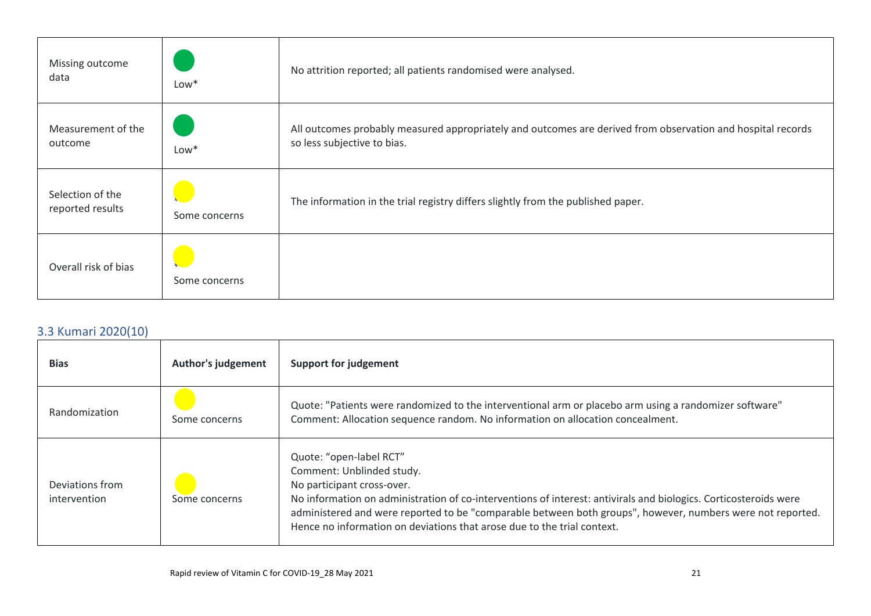| Missing outcome<br>data              | $Low*$        | No attrition reported; all patients randomised were analysed.                                                                              |
|--------------------------------------|---------------|--------------------------------------------------------------------------------------------------------------------------------------------|
| Measurement of the<br>outcome        | $Low*$        | All outcomes probably measured appropriately and outcomes are derived from observation and hospital records<br>so less subjective to bias. |
| Selection of the<br>reported results | Some concerns | The information in the trial registry differs slightly from the published paper.                                                           |
| Overall risk of bias                 | Some concerns |                                                                                                                                            |

# 3.3 Kumari 2020(10)

| <b>Bias</b>                     | <b>Author's judgement</b> | <b>Support for judgement</b>                                                                                                                                                                                                                                                                                                                                                                    |
|---------------------------------|---------------------------|-------------------------------------------------------------------------------------------------------------------------------------------------------------------------------------------------------------------------------------------------------------------------------------------------------------------------------------------------------------------------------------------------|
| Randomization                   | Some concerns             | Quote: "Patients were randomized to the interventional arm or placebo arm using a randomizer software"<br>Comment: Allocation sequence random. No information on allocation concealment.                                                                                                                                                                                                        |
| Deviations from<br>intervention | Some concerns             | Quote: "open-label RCT"<br>Comment: Unblinded study.<br>No participant cross-over.<br>No information on administration of co-interventions of interest: antivirals and biologics. Corticosteroids were<br>administered and were reported to be "comparable between both groups", however, numbers were not reported.<br>Hence no information on deviations that arose due to the trial context. |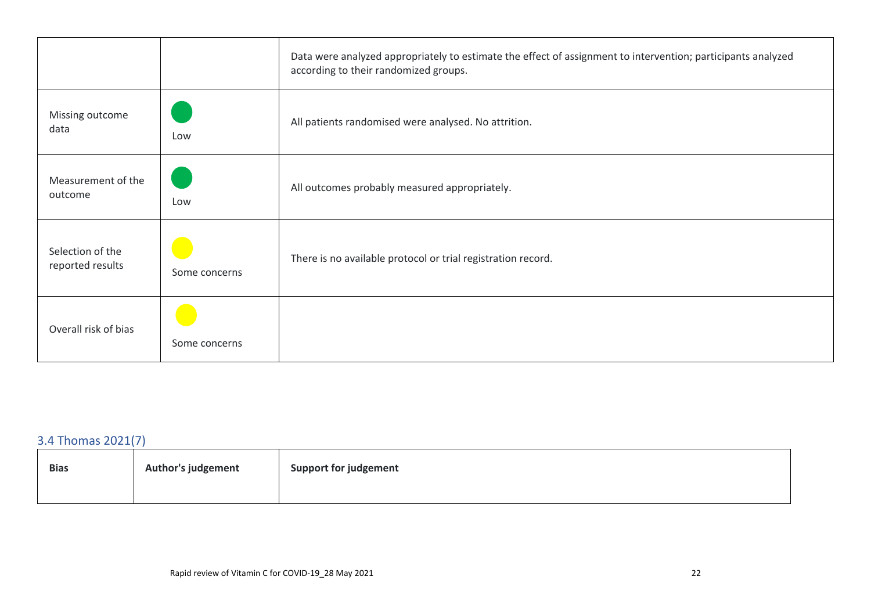|                                      |               | Data were analyzed appropriately to estimate the effect of assignment to intervention; participants analyzed<br>according to their randomized groups. |
|--------------------------------------|---------------|-------------------------------------------------------------------------------------------------------------------------------------------------------|
| Missing outcome<br>data              | Low           | All patients randomised were analysed. No attrition.                                                                                                  |
| Measurement of the<br>outcome        | Low           | All outcomes probably measured appropriately.                                                                                                         |
| Selection of the<br>reported results | Some concerns | There is no available protocol or trial registration record.                                                                                          |
| Overall risk of bias                 | Some concerns |                                                                                                                                                       |

# 3.4 Thomas 2021(7)

| <b>Bias</b> | <b>Author's judgement</b> | <b>Support for judgement</b> |
|-------------|---------------------------|------------------------------|
|             |                           |                              |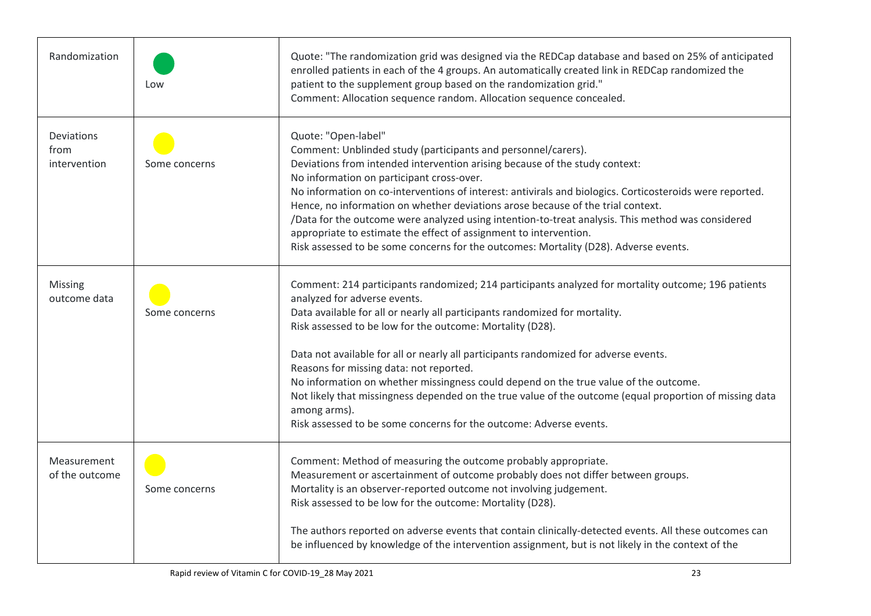| Randomization                      | Low           | Quote: "The randomization grid was designed via the REDCap database and based on 25% of anticipated<br>enrolled patients in each of the 4 groups. An automatically created link in REDCap randomized the<br>patient to the supplement group based on the randomization grid."<br>Comment: Allocation sequence random. Allocation sequence concealed.                                                                                                                                                                                                                                                                                                                                                        |
|------------------------------------|---------------|-------------------------------------------------------------------------------------------------------------------------------------------------------------------------------------------------------------------------------------------------------------------------------------------------------------------------------------------------------------------------------------------------------------------------------------------------------------------------------------------------------------------------------------------------------------------------------------------------------------------------------------------------------------------------------------------------------------|
| Deviations<br>from<br>intervention | Some concerns | Quote: "Open-label"<br>Comment: Unblinded study (participants and personnel/carers).<br>Deviations from intended intervention arising because of the study context:<br>No information on participant cross-over.<br>No information on co-interventions of interest: antivirals and biologics. Corticosteroids were reported.<br>Hence, no information on whether deviations arose because of the trial context.<br>/Data for the outcome were analyzed using intention-to-treat analysis. This method was considered<br>appropriate to estimate the effect of assignment to intervention.<br>Risk assessed to be some concerns for the outcomes: Mortality (D28). Adverse events.                           |
| <b>Missing</b><br>outcome data     | Some concerns | Comment: 214 participants randomized; 214 participants analyzed for mortality outcome; 196 patients<br>analyzed for adverse events.<br>Data available for all or nearly all participants randomized for mortality.<br>Risk assessed to be low for the outcome: Mortality (D28).<br>Data not available for all or nearly all participants randomized for adverse events.<br>Reasons for missing data: not reported.<br>No information on whether missingness could depend on the true value of the outcome.<br>Not likely that missingness depended on the true value of the outcome (equal proportion of missing data<br>among arms).<br>Risk assessed to be some concerns for the outcome: Adverse events. |
| Measurement<br>of the outcome      | Some concerns | Comment: Method of measuring the outcome probably appropriate.<br>Measurement or ascertainment of outcome probably does not differ between groups.<br>Mortality is an observer-reported outcome not involving judgement.<br>Risk assessed to be low for the outcome: Mortality (D28).<br>The authors reported on adverse events that contain clinically-detected events. All these outcomes can<br>be influenced by knowledge of the intervention assignment, but is not likely in the context of the                                                                                                                                                                                                       |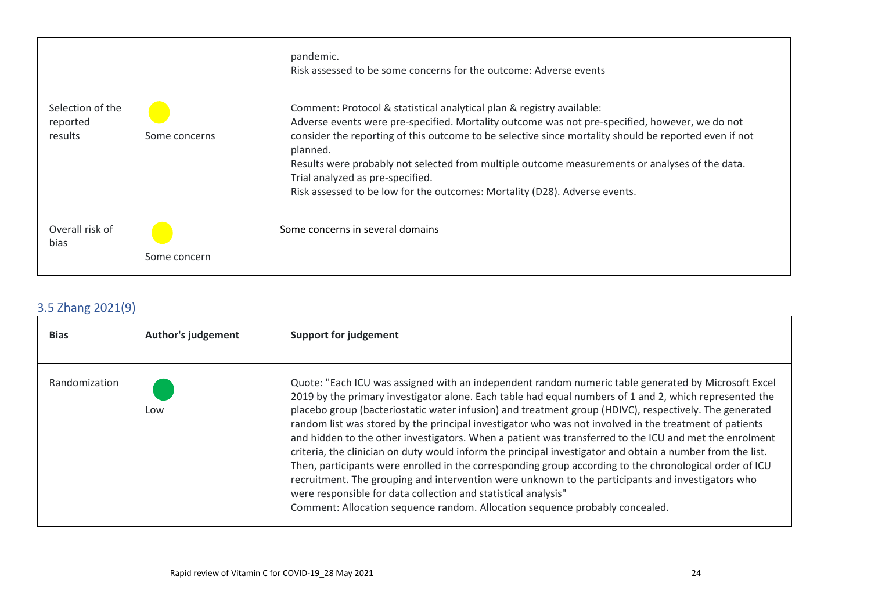|                                         |               | pandemic.<br>Risk assessed to be some concerns for the outcome: Adverse events                                                                                                                                                                                                                                                                                                                                                                                                                                   |
|-----------------------------------------|---------------|------------------------------------------------------------------------------------------------------------------------------------------------------------------------------------------------------------------------------------------------------------------------------------------------------------------------------------------------------------------------------------------------------------------------------------------------------------------------------------------------------------------|
| Selection of the<br>reported<br>results | Some concerns | Comment: Protocol & statistical analytical plan & registry available:<br>Adverse events were pre-specified. Mortality outcome was not pre-specified, however, we do not<br>consider the reporting of this outcome to be selective since mortality should be reported even if not<br>planned.<br>Results were probably not selected from multiple outcome measurements or analyses of the data.<br>Trial analyzed as pre-specified.<br>Risk assessed to be low for the outcomes: Mortality (D28). Adverse events. |
| Overall risk of<br>bias                 | Some concern  | Some concerns in several domains                                                                                                                                                                                                                                                                                                                                                                                                                                                                                 |

# 3.5 Zhang 2021(9)

| <b>Bias</b>   | <b>Author's judgement</b> | <b>Support for judgement</b>                                                                                                                                                                                                                                                                                                                                                                                                                                                                                                                                                                                                                                                                                                                                                                                                                                                                                                                                                                                                |
|---------------|---------------------------|-----------------------------------------------------------------------------------------------------------------------------------------------------------------------------------------------------------------------------------------------------------------------------------------------------------------------------------------------------------------------------------------------------------------------------------------------------------------------------------------------------------------------------------------------------------------------------------------------------------------------------------------------------------------------------------------------------------------------------------------------------------------------------------------------------------------------------------------------------------------------------------------------------------------------------------------------------------------------------------------------------------------------------|
| Randomization | Low                       | Quote: "Each ICU was assigned with an independent random numeric table generated by Microsoft Excel<br>2019 by the primary investigator alone. Each table had equal numbers of 1 and 2, which represented the<br>placebo group (bacteriostatic water infusion) and treatment group (HDIVC), respectively. The generated<br>random list was stored by the principal investigator who was not involved in the treatment of patients<br>and hidden to the other investigators. When a patient was transferred to the ICU and met the enrolment<br>criteria, the clinician on duty would inform the principal investigator and obtain a number from the list.<br>Then, participants were enrolled in the corresponding group according to the chronological order of ICU<br>recruitment. The grouping and intervention were unknown to the participants and investigators who<br>were responsible for data collection and statistical analysis"<br>Comment: Allocation sequence random. Allocation sequence probably concealed. |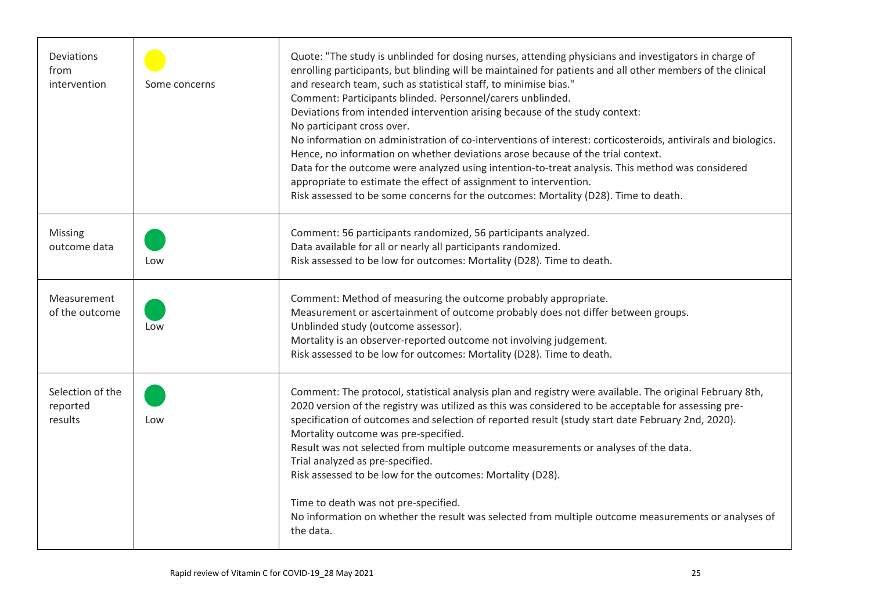| Deviations<br>from<br>intervention      | Some concerns | Quote: "The study is unblinded for dosing nurses, attending physicians and investigators in charge of<br>enrolling participants, but blinding will be maintained for patients and all other members of the clinical<br>and research team, such as statistical staff, to minimise bias."<br>Comment: Participants blinded. Personnel/carers unblinded.<br>Deviations from intended intervention arising because of the study context:<br>No participant cross over.<br>No information on administration of co-interventions of interest: corticosteroids, antivirals and biologics.<br>Hence, no information on whether deviations arose because of the trial context.<br>Data for the outcome were analyzed using intention-to-treat analysis. This method was considered<br>appropriate to estimate the effect of assignment to intervention.<br>Risk assessed to be some concerns for the outcomes: Mortality (D28). Time to death. |
|-----------------------------------------|---------------|---------------------------------------------------------------------------------------------------------------------------------------------------------------------------------------------------------------------------------------------------------------------------------------------------------------------------------------------------------------------------------------------------------------------------------------------------------------------------------------------------------------------------------------------------------------------------------------------------------------------------------------------------------------------------------------------------------------------------------------------------------------------------------------------------------------------------------------------------------------------------------------------------------------------------------------|
| Missing<br>outcome data                 | Low           | Comment: 56 participants randomized, 56 participants analyzed.<br>Data available for all or nearly all participants randomized.<br>Risk assessed to be low for outcomes: Mortality (D28). Time to death.                                                                                                                                                                                                                                                                                                                                                                                                                                                                                                                                                                                                                                                                                                                              |
| Measurement<br>of the outcome           | Low           | Comment: Method of measuring the outcome probably appropriate.<br>Measurement or ascertainment of outcome probably does not differ between groups.<br>Unblinded study (outcome assessor).<br>Mortality is an observer-reported outcome not involving judgement.<br>Risk assessed to be low for outcomes: Mortality (D28). Time to death.                                                                                                                                                                                                                                                                                                                                                                                                                                                                                                                                                                                              |
| Selection of the<br>reported<br>results | Low           | Comment: The protocol, statistical analysis plan and registry were available. The original February 8th,<br>2020 version of the registry was utilized as this was considered to be acceptable for assessing pre-<br>specification of outcomes and selection of reported result (study start date February 2nd, 2020).<br>Mortality outcome was pre-specified.<br>Result was not selected from multiple outcome measurements or analyses of the data.<br>Trial analyzed as pre-specified.<br>Risk assessed to be low for the outcomes: Mortality (D28).<br>Time to death was not pre-specified.<br>No information on whether the result was selected from multiple outcome measurements or analyses of<br>the data.                                                                                                                                                                                                                    |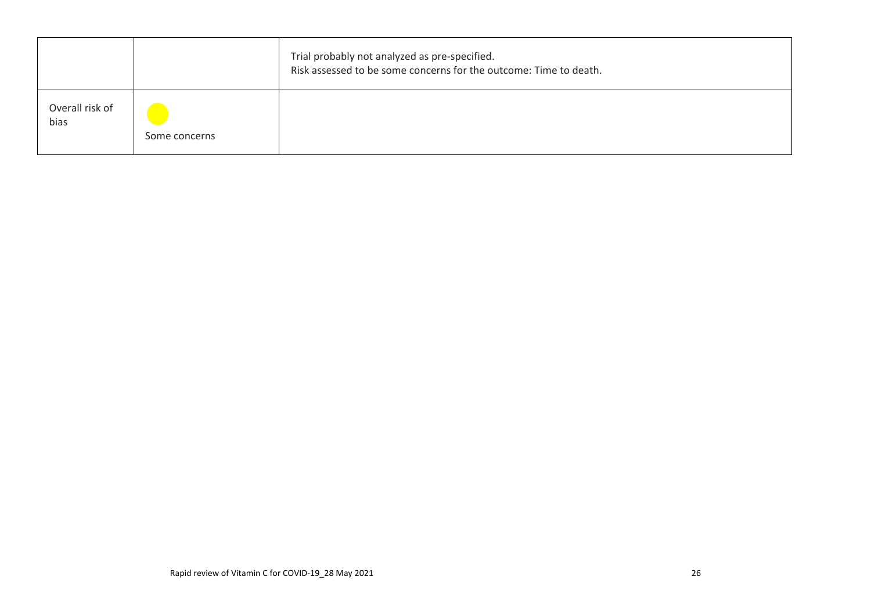|                         |               | Trial probably not analyzed as pre-specified.<br>Risk assessed to be some concerns for the outcome: Time to death. |
|-------------------------|---------------|--------------------------------------------------------------------------------------------------------------------|
| Overall risk of<br>bias | Some concerns |                                                                                                                    |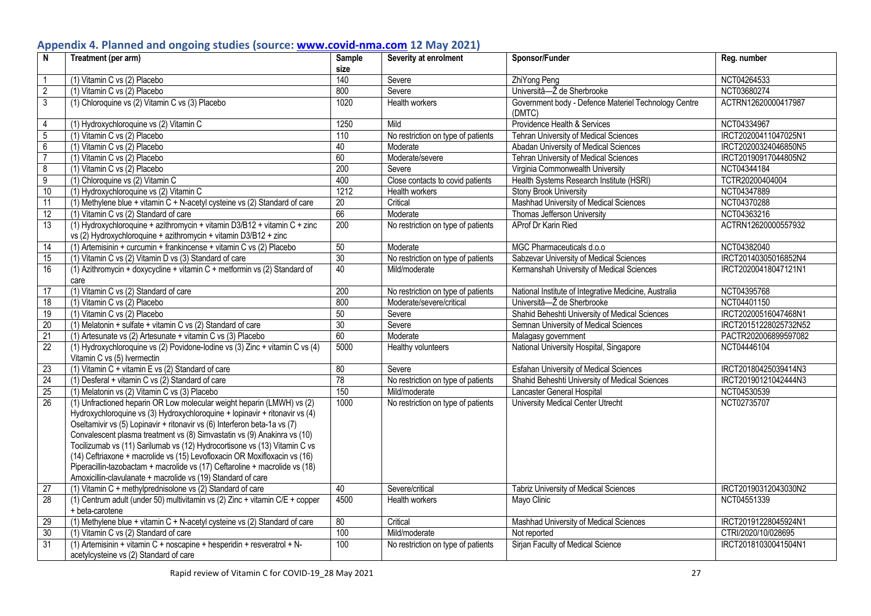# **Appendix 4. Planned and ongoing studies (source: [www.covid-nma.com](http://www.covid-nma.com/) 12 May 2021)**

| $\overline{N}$  | Treatment (per arm)                                                                                                                                                                                                                                                                                                                                                                                                                                                                                                                                                                                                     | Sample | Severity at enrolment              | Sponsor/Funder                                                 | Reg. number           |
|-----------------|-------------------------------------------------------------------------------------------------------------------------------------------------------------------------------------------------------------------------------------------------------------------------------------------------------------------------------------------------------------------------------------------------------------------------------------------------------------------------------------------------------------------------------------------------------------------------------------------------------------------------|--------|------------------------------------|----------------------------------------------------------------|-----------------------|
|                 |                                                                                                                                                                                                                                                                                                                                                                                                                                                                                                                                                                                                                         | size   |                                    |                                                                |                       |
| $\overline{1}$  | (1) Vitamin C vs (2) Placebo                                                                                                                                                                                                                                                                                                                                                                                                                                                                                                                                                                                            | 140    | Severe                             | ZhiYong Peng                                                   | NCT04264533           |
| $\overline{2}$  | (1) Vitamin C vs (2) Placebo                                                                                                                                                                                                                                                                                                                                                                                                                                                                                                                                                                                            | 800    | Severe                             | Universitâ-Ž de Sherbrooke                                     | NCT03680274           |
| $\overline{3}$  | (1) Chloroquine vs (2) Vitamin C vs (3) Placebo                                                                                                                                                                                                                                                                                                                                                                                                                                                                                                                                                                         | 1020   | Health workers                     | Government body - Defence Materiel Technology Centre<br>(DMTC) | ACTRN12620000417987   |
| $\overline{4}$  | (1) Hydroxychloroquine vs (2) Vitamin C                                                                                                                                                                                                                                                                                                                                                                                                                                                                                                                                                                                 | 1250   | Mild                               | Providence Health & Services                                   | NCT04334967           |
| $\overline{5}$  | (1) Vitamin C vs (2) Placebo                                                                                                                                                                                                                                                                                                                                                                                                                                                                                                                                                                                            | 110    | No restriction on type of patients | Tehran University of Medical Sciences                          | IRCT20200411047025N1  |
| $\overline{6}$  | (1) Vitamin C vs (2) Placebo                                                                                                                                                                                                                                                                                                                                                                                                                                                                                                                                                                                            | 40     | Moderate                           | Abadan University of Medical Sciences                          | IRCT20200324046850N5  |
| $\overline{7}$  | (1) Vitamin C vs (2) Placebo                                                                                                                                                                                                                                                                                                                                                                                                                                                                                                                                                                                            | 60     | Moderate/severe                    | Tehran University of Medical Sciences                          | IRCT20190917044805N2  |
| $\infty$        | (1) Vitamin C vs (2) Placebo                                                                                                                                                                                                                                                                                                                                                                                                                                                                                                                                                                                            | 200    | Severe                             | Virginia Commonwealth University                               | NCT04344184           |
| $\overline{9}$  | (1) Chloroquine vs (2) Vitamin C                                                                                                                                                                                                                                                                                                                                                                                                                                                                                                                                                                                        | 400    | Close contacts to covid patients   | Health Systems Research Institute (HSRI)                       | TCTR20200404004       |
| 10              | (1) Hydroxychloroquine vs (2) Vitamin C                                                                                                                                                                                                                                                                                                                                                                                                                                                                                                                                                                                 | 1212   | Health workers                     | <b>Stony Brook University</b>                                  | NCT04347889           |
| $\overline{11}$ | (1) Methylene blue + vitamin $C + N$ -acetyl cysteine vs (2) Standard of care                                                                                                                                                                                                                                                                                                                                                                                                                                                                                                                                           | 20     | Critical                           | Mashhad University of Medical Sciences                         | NCT04370288           |
| 12              | (1) Vitamin C vs (2) Standard of care                                                                                                                                                                                                                                                                                                                                                                                                                                                                                                                                                                                   | 66     | Moderate                           | Thomas Jefferson University                                    | NCT04363216           |
| 13              | (1) Hydroxychloroquine + azithromycin + vitamin D3/B12 + vitamin C + zinc                                                                                                                                                                                                                                                                                                                                                                                                                                                                                                                                               | 200    | No restriction on type of patients | AProf Dr Karin Ried                                            | ACTRN12620000557932   |
|                 | vs (2) Hydroxychloroquine + azithromycin + vitamin D3/B12 + zinc                                                                                                                                                                                                                                                                                                                                                                                                                                                                                                                                                        |        |                                    |                                                                |                       |
| 14              | (1) Artemisinin + curcumin + frankincense + vitamin C vs (2) Placebo                                                                                                                                                                                                                                                                                                                                                                                                                                                                                                                                                    | 50     | Moderate                           | MGC Pharmaceuticals d.o.o                                      | NCT04382040           |
| $\overline{15}$ | (1) Vitamin C vs (2) Vitamin D vs (3) Standard of care                                                                                                                                                                                                                                                                                                                                                                                                                                                                                                                                                                  | 30     | No restriction on type of patients | Sabzevar University of Medical Sciences                        | IRCT20140305016852N4  |
| 16              | (1) Azithromycin + doxycycline + vitamin C + metformin vs (2) Standard of                                                                                                                                                                                                                                                                                                                                                                                                                                                                                                                                               | 40     | Mild/moderate                      | Kermanshah University of Medical Sciences                      | IRCT20200418047121N1  |
|                 | care                                                                                                                                                                                                                                                                                                                                                                                                                                                                                                                                                                                                                    |        |                                    |                                                                |                       |
| $\overline{17}$ | (1) Vitamin C vs (2) Standard of care                                                                                                                                                                                                                                                                                                                                                                                                                                                                                                                                                                                   | 200    | No restriction on type of patients | National Institute of Integrative Medicine, Australia          | NCT04395768           |
| $\overline{18}$ | (1) Vitamin C vs (2) Placebo                                                                                                                                                                                                                                                                                                                                                                                                                                                                                                                                                                                            | 800    | Moderate/severe/critical           | Universitâ-Ž de Sherbrooke                                     | NCT04401150           |
| $\overline{19}$ | (1) Vitamin C vs (2) Placebo                                                                                                                                                                                                                                                                                                                                                                                                                                                                                                                                                                                            | 50     | Severe                             | Shahid Beheshti University of Medical Sciences                 | IRCT20200516047468N1  |
| 20              | $(1)$ Melatonin + sulfate + vitamin C vs (2) Standard of care                                                                                                                                                                                                                                                                                                                                                                                                                                                                                                                                                           | 30     | Severe                             | Semnan University of Medical Sciences                          | IRCT20151228025732N52 |
| 21              | (1) Artesunate vs (2) Artesunate + vitamin C vs (3) Placebo                                                                                                                                                                                                                                                                                                                                                                                                                                                                                                                                                             | 60     | Moderate                           | Malagasy government                                            | PACTR202006899597082  |
| 22              | (1) Hydroxychloroquine vs (2) Povidone-lodine vs (3) Zinc + vitamin C vs (4)<br>Vitamin C vs (5) Ivermectin                                                                                                                                                                                                                                                                                                                                                                                                                                                                                                             | 5000   | Healthy volunteers                 | National University Hospital, Singapore                        | NCT04446104           |
| 23              | (1) Vitamin C + vitamin E vs (2) Standard of care                                                                                                                                                                                                                                                                                                                                                                                                                                                                                                                                                                       | 80     | Severe                             | <b>Esfahan University of Medical Sciences</b>                  | IRCT20180425039414N3  |
| 24              | (1) Desferal + vitamin C vs (2) Standard of care                                                                                                                                                                                                                                                                                                                                                                                                                                                                                                                                                                        | 78     | No restriction on type of patients | Shahid Beheshti University of Medical Sciences                 | IRCT20190121042444N3  |
| 25              | (1) Melatonin vs (2) Vitamin C vs (3) Placebo                                                                                                                                                                                                                                                                                                                                                                                                                                                                                                                                                                           | 150    | Mild/moderate                      | Lancaster General Hospital                                     | NCT04530539           |
| 26              | (1) Unfractioned heparin OR Low molecular weight heparin (LMWH) vs (2)<br>Hydroxychloroquine vs (3) Hydroxychloroquine + lopinavir + ritonavir vs (4)<br>Oseltamivir vs (5) Lopinavir + ritonavir vs (6) Interferon beta-1a vs (7)<br>Convalescent plasma treatment vs (8) Simvastatin vs (9) Anakinra vs (10)<br>Tocilizumab vs (11) Sarilumab vs (12) Hydrocortisone vs (13) Vitamin C vs<br>(14) Ceftriaxone + macrolide vs (15) Levofloxacin OR Moxifloxacin vs (16)<br>Piperacillin-tazobactam + macrolide vs (17) Ceftaroline + macrolide vs (18)<br>Amoxicillin-clavulanate + macrolide vs (19) Standard of care | 1000   | No restriction on type of patients | University Medical Center Utrecht                              | NCT02735707           |
| $\overline{27}$ | (1) Vitamin C + methylprednisolone vs (2) Standard of care                                                                                                                                                                                                                                                                                                                                                                                                                                                                                                                                                              | 40     | Severe/critical                    | <b>Tabriz University of Medical Sciences</b>                   | IRCT20190312043030N2  |
| 28              | (1) Centrum adult (under 50) multivitamin vs (2) Zinc + vitamin C/E + copper                                                                                                                                                                                                                                                                                                                                                                                                                                                                                                                                            | 4500   | Health workers                     | Mayo Clinic                                                    | NCT04551339           |
|                 | + beta-carotene                                                                                                                                                                                                                                                                                                                                                                                                                                                                                                                                                                                                         |        |                                    |                                                                |                       |
| 29              | (1) Methylene blue + vitamin C + N-acetyl cysteine vs (2) Standard of care                                                                                                                                                                                                                                                                                                                                                                                                                                                                                                                                              | 80     | Critical                           | Mashhad University of Medical Sciences                         | IRCT20191228045924N1  |
| 30              | (1) Vitamin C vs (2) Standard of care                                                                                                                                                                                                                                                                                                                                                                                                                                                                                                                                                                                   | 100    | Mild/moderate                      | Not reported                                                   | CTRI/2020/10/028695   |
| $\overline{31}$ | $(1)$ Artemisinin + vitamin C + noscapine + hesperidin + resveratrol + N-<br>acetylcysteine vs (2) Standard of care                                                                                                                                                                                                                                                                                                                                                                                                                                                                                                     | 100    | No restriction on type of patients | Sirjan Faculty of Medical Science                              | IRCT20181030041504N1  |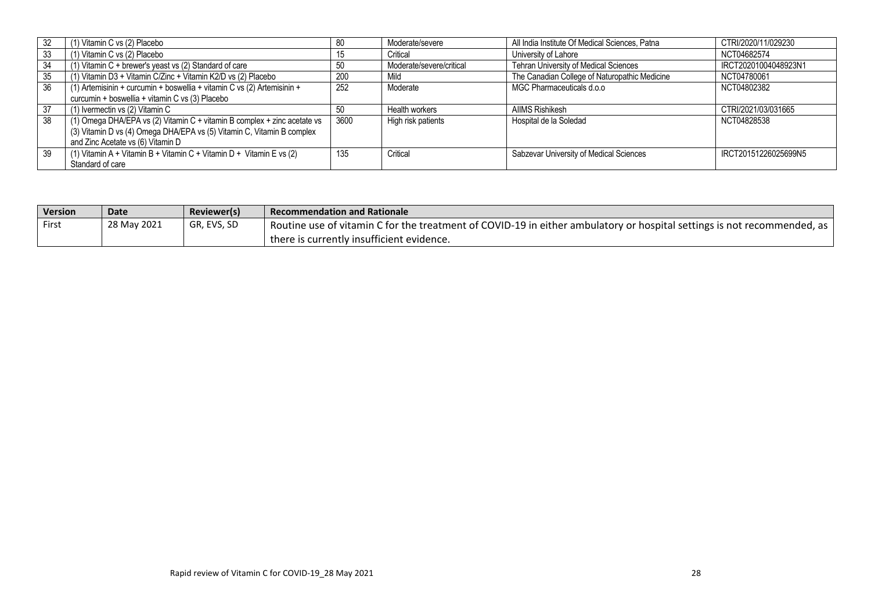|    | (1) Vitamin C vs (2) Placebo                                             | 80   | Moderate/severe          | All India Institute Of Medical Sciences, Patna | CTRI/2020/11/029230  |
|----|--------------------------------------------------------------------------|------|--------------------------|------------------------------------------------|----------------------|
| 33 | (1) Vitamin C vs (2) Placebo                                             | 15   | Critical                 | University of Lahore                           | NCT04682574          |
| 34 | (1) Vitamin C + brewer's yeast vs (2) Standard of care                   | 50   | Moderate/severe/critical | Tehran University of Medical Sciences          | IRCT20201004048923N1 |
| 35 | (1) Vitamin D3 + Vitamin C/Zinc + Vitamin K2/D vs (2) Placebo            | 200  | Mild                     | The Canadian College of Naturopathic Medicine  | NCT04780061          |
| 36 | (1) Artemisinin + curcumin + boswellia + vitamin C vs (2) Artemisinin +  | 252  | Moderate                 | MGC Pharmaceuticals d.o.o                      | NCT04802382          |
|    | curcumin + boswellia + vitamin C vs (3) Placebo                          |      |                          |                                                |                      |
| 37 | (1) Ivermectin vs (2) Vitamin C                                          | 50   | Health workers           | <b>AIIMS Rishikesh</b>                         | CTRI/2021/03/031665  |
| 38 | (1) Omega DHA/EPA vs (2) Vitamin C + vitamin B complex + zinc acetate vs | 3600 | High risk patients       | Hospital de la Soledad                         | NCT04828538          |
|    | (3) Vitamin D vs (4) Omega DHA/EPA vs (5) Vitamin C, Vitamin B complex   |      |                          |                                                |                      |
|    | and Zinc Acetate vs (6) Vitamin D                                        |      |                          |                                                |                      |
| 39 | (1) Vitamin A + Vitamin B + Vitamin C + Vitamin D + Vitamin E vs (2)     | 135  | Critical                 | Sabzevar University of Medical Sciences        | IRCT20151226025699N5 |
|    | Standard of care                                                         |      |                          |                                                |                      |

| <b>Version</b> | <b>Date</b> | Reviewer(s) | <b>Recommendation and Rationale</b>                                                                                         |
|----------------|-------------|-------------|-----------------------------------------------------------------------------------------------------------------------------|
| First          | 28 May 2021 | GR, EVS, SD | 1 Routine use of vitamin C for the treatment of COVID-19 in either ambulatory or hospital settings is not recommended, as 1 |
|                |             |             | there is currently insufficient evidence.                                                                                   |